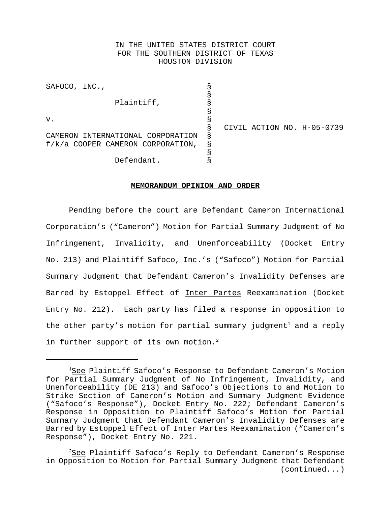# IN THE UNITED STATES DISTRICT COURT FOR THE SOUTHERN DISTRICT OF TEXAS HOUSTON DIVISION

| SAFOCO, INC.,                     |                                     |    |  |                            |
|-----------------------------------|-------------------------------------|----|--|----------------------------|
|                                   |                                     | g  |  |                            |
|                                   | Plaintiff,                          |    |  |                            |
|                                   |                                     |    |  |                            |
| v.                                |                                     | Š  |  |                            |
|                                   |                                     | Š  |  | CIVIL ACTION NO. H-05-0739 |
| CAMERON INTERNATIONAL CORPORATION |                                     | Ŗ. |  |                            |
|                                   | $f/k/a$ COOPER CAMERON CORPORATION, | Š  |  |                            |
| Defendant.                        |                                     |    |  |                            |
|                                   |                                     |    |  |                            |

#### **MEMORANDUM OPINION AND ORDER**

Pending before the court are Defendant Cameron International Corporation's ("Cameron") Motion for Partial Summary Judgment of No Infringement, Invalidity, and Unenforceability (Docket Entry No. 213) and Plaintiff Safoco, Inc.'s ("Safoco") Motion for Partial Summary Judgment that Defendant Cameron's Invalidity Defenses are Barred by Estoppel Effect of Inter Partes Reexamination (Docket Entry No. 212). Each party has filed a response in opposition to the other party's motion for partial summary judgment<sup>1</sup> and a reply in further support of its own motion.<sup>2</sup>

<sup>&</sup>lt;sup>1</sup>See Plaintiff Safoco's Response to Defendant Cameron's Motion for Partial Summary Judgment of No Infringement, Invalidity, and Unenforceability (DE 213) and Safoco's Objections to and Motion to Strike Section of Cameron's Motion and Summary Judgment Evidence ("Safoco's Response"), Docket Entry No. 222; Defendant Cameron's Response in Opposition to Plaintiff Safoco's Motion for Partial Summary Judgment that Defendant Cameron's Invalidity Defenses are Barred by Estoppel Effect of Inter Partes Reexamination ("Cameron's Response"), Docket Entry No. 221.

 $2$ See Plaintiff Safoco's Reply to Defendant Cameron's Response in Opposition to Motion for Partial Summary Judgment that Defendant (continued...)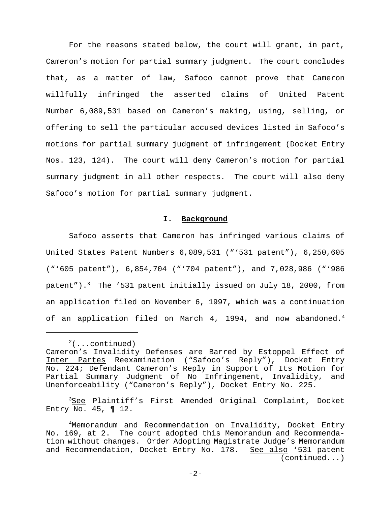For the reasons stated below, the court will grant, in part, Cameron's motion for partial summary judgment. The court concludes that, as a matter of law, Safoco cannot prove that Cameron willfully infringed the asserted claims of United Patent Number 6,089,531 based on Cameron's making, using, selling, or offering to sell the particular accused devices listed in Safoco's motions for partial summary judgment of infringement (Docket Entry Nos. 123, 124). The court will deny Cameron's motion for partial summary judgment in all other respects. The court will also deny Safoco's motion for partial summary judgment.

### **I. Background**

Safoco asserts that Cameron has infringed various claims of United States Patent Numbers 6,089,531 ("'531 patent"), 6,250,605 ("'605 patent"), 6,854,704 ("'704 patent"), and 7,028,986 ("'986 patent").<sup>3</sup> The '531 patent initially issued on July 18, 2000, from an application filed on November 6, 1997, which was a continuation of an application filed on March 4, 1994, and now abandoned.<sup>4</sup>

<sup>3</sup>See Plaintiff's First Amended Original Complaint, Docket Entry No.  $45$ , ¶ 12.

 $2$ (...continued) Cameron's Invalidity Defenses are Barred by Estoppel Effect of Inter Partes Reexamination ("Safoco's Reply"), Docket Entry No. 224; Defendant Cameron's Reply in Support of Its Motion for Partial Summary Judgment of No Infringement, Invalidity, and Unenforceability ("Cameron's Reply"), Docket Entry No. 225.

<sup>4</sup>Memorandum and Recommendation on Invalidity, Docket Entry No. 169, at 2. The court adopted this Memorandum and Recommendation without changes. Order Adopting Magistrate Judge's Memorandum and Recommendation, Docket Entry No. 178. See also '531 patent (continued...)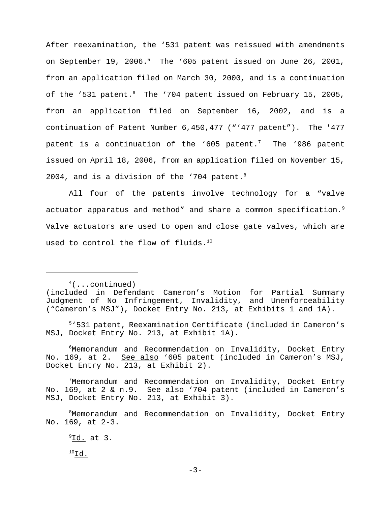After reexamination, the '531 patent was reissued with amendments on September 19, 2006.<sup>5</sup> The '605 patent issued on June 26, 2001, from an application filed on March 30, 2000, and is a continuation of the '531 patent.<sup>6</sup> The '704 patent issued on February 15, 2005, from an application filed on September 16, 2002, and is a continuation of Patent Number 6,450,477 ("'477 patent"). The '477 patent is a continuation of the '605 patent.<sup>7</sup> The '986 patent issued on April 18, 2006, from an application filed on November 15, 2004, and is a division of the '704 patent. $8$ 

All four of the patents involve technology for a "valve actuator apparatus and method" and share a common specification.<sup>9</sup> Valve actuators are used to open and close gate valves, which are used to control the flow of fluids.<sup>10</sup>

 $4($ ...continued)

5'531 patent, Reexamination Certificate (included in Cameron's MSJ, Docket Entry No. 213, at Exhibit 1A).

6 Memorandum and Recommendation on Invalidity, Docket Entry No. 169, at 2. See also '605 patent (included in Cameron's MSJ, Docket Entry No. 213, at Exhibit 2).

7Memorandum and Recommendation on Invalidity, Docket Entry No. 169, at 2 & n.9. See also '704 patent (included in Cameron's MSJ, Docket Entry No. 213, at Exhibit 3).

8Memorandum and Recommendation on Invalidity, Docket Entry No. 169, at 2-3.

 $^9$ <u>Id.</u> at 3.

 $^{10}$ Id.

<sup>(</sup>included in Defendant Cameron's Motion for Partial Summary Judgment of No Infringement, Invalidity, and Unenforceability ("Cameron's MSJ"), Docket Entry No. 213, at Exhibits 1 and 1A).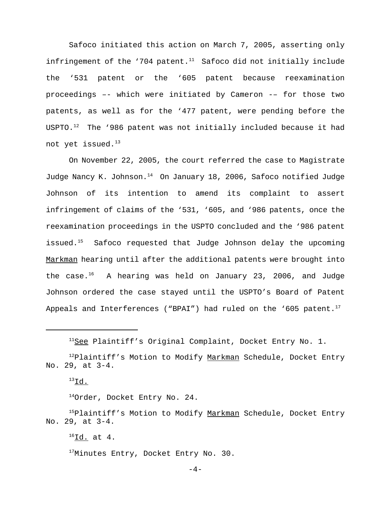Safoco initiated this action on March 7, 2005, asserting only infringement of the '704 patent.<sup>11</sup> Safoco did not initially include the '531 patent or the '605 patent because reexamination proceedings –- which were initiated by Cameron -– for those two patents, as well as for the '477 patent, were pending before the USPTO. $12$  The '986 patent was not initially included because it had not yet issued.<sup>13</sup>

On November 22, 2005, the court referred the case to Magistrate Judge Nancy K. Johnson.<sup>14</sup> On January 18, 2006, Safoco notified Judge Johnson of its intention to amend its complaint to assert infringement of claims of the '531, '605, and '986 patents, once the reexamination proceedings in the USPTO concluded and the '986 patent issued.<sup>15</sup> Safoco requested that Judge Johnson delay the upcoming Markman hearing until after the additional patents were brought into the case.<sup>16</sup> A hearing was held on January 23, 2006, and Judge Johnson ordered the case stayed until the USPTO's Board of Patent Appeals and Interferences ("BPAI") had ruled on the '605 patent.<sup>17</sup>

14Order, Docket Entry No. 24.

<sup>15</sup>Plaintiff's Motion to Modify <u>Markman</u> Schedule, Docket Entry No. 29, at 3-4.

<sup>17</sup>Minutes Entry, Docket Entry No. 30.

 $-4-$ 

 $11$ See Plaintiff's Original Complaint, Docket Entry No. 1.

 $12P$ laintiff's Motion to Modify Markman Schedule, Docket Entry No. 29, at 3-4.

 $^{13}$ Id.

 $^{16}$ Id. at 4.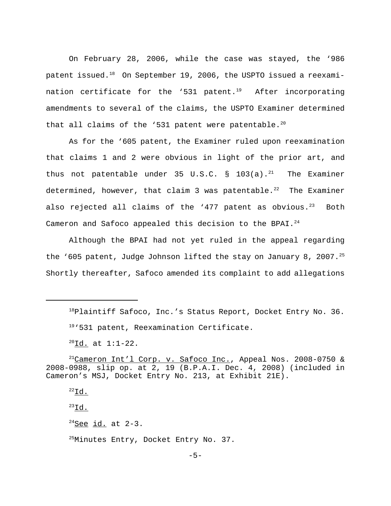On February 28, 2006, while the case was stayed, the '986 patent issued. $18$  On September 19, 2006, the USPTO issued a reexamination certificate for the '531 patent.<sup>19</sup> After incorporating amendments to several of the claims, the USPTO Examiner determined that all claims of the '531 patent were patentable.<sup>20</sup>

As for the '605 patent, the Examiner ruled upon reexamination that claims 1 and 2 were obvious in light of the prior art, and thus not patentable under 35 U.S.C. § 103(a).<sup>21</sup> The Examiner determined, however, that claim 3 was patentable.<sup>22</sup> The Examiner also rejected all claims of the '477 patent as obvious. $23$  Both Cameron and Safoco appealed this decision to the BPAI.<sup>24</sup>

Although the BPAI had not yet ruled in the appeal regarding the '605 patent, Judge Johnson lifted the stay on January 8, 2007.<sup>25</sup> Shortly thereafter, Safoco amended its complaint to add allegations

 $^{22}$ Id.

 $^{23}$ Id.

 $24$ See id. at 2-3.

 $^{18}$ Plaintiff Safoco, Inc.'s Status Report, Docket Entry No. 36.  $19.531$  patent, Reexamination Certificate.

 $^{20}$ Id. at 1:1-22.

 $^{21}$ Cameron Int'l Corp. v. Safoco Inc., Appeal Nos. 2008-0750 & 2008-0988, slip op. at 2, 19 (B.P.A.I. Dec. 4, 2008) (included in Cameron's MSJ, Docket Entry No. 213, at Exhibit 21E).

<sup>&</sup>lt;sup>25</sup>Minutes Entry, Docket Entry No. 37.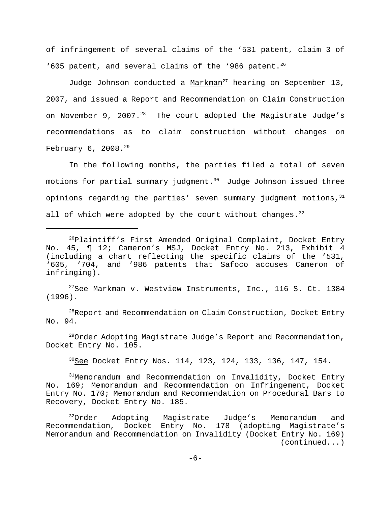of infringement of several claims of the '531 patent, claim 3 of '605 patent, and several claims of the '986 patent.<sup>26</sup>

Judge Johnson conducted a  $Maxkman^{27}$  hearing on September 13, 2007, and issued a Report and Recommendation on Claim Construction on November 9, 2007. $^{28}$  The court adopted the Magistrate Judge's recommendations as to claim construction without changes on February  $6, 2008.^{29}$ 

In the following months, the parties filed a total of seven motions for partial summary judgment.<sup>30</sup> Judge Johnson issued three opinions regarding the parties' seven summary judgment motions,  $31$ all of which were adopted by the court without changes.  $32$ 

 $27$ See Markman v. Westview Instruments, Inc., 116 S. Ct. 1384 (1996).

<sup>28</sup>Report and Recommendation on Claim Construction, Docket Entry No. 94.

 $^{29}$ Order Adopting Magistrate Judge's Report and Recommendation, Docket Entry No. 105.

<sup>30</sup>See Docket Entry Nos. 114, 123, 124, 133, 136, 147, 154.

 $31$ Memorandum and Recommendation on Invalidity, Docket Entry No. 169; Memorandum and Recommendation on Infringement, Docket Entry No. 170; Memorandum and Recommendation on Procedural Bars to Recovery, Docket Entry No. 185.

<sup>32</sup>Order Adopting Magistrate Judge's Memorandum and Recommendation, Docket Entry No. 178 (adopting Magistrate's Memorandum and Recommendation on Invalidity (Docket Entry No. 169) (continued...)

 $26P$ laintiff's First Amended Original Complaint, Docket Entry No. 45, ¶ 12; Cameron's MSJ, Docket Entry No. 213, Exhibit 4 (including a chart reflecting the specific claims of the '531, '605, '704, and '986 patents that Safoco accuses Cameron of infringing).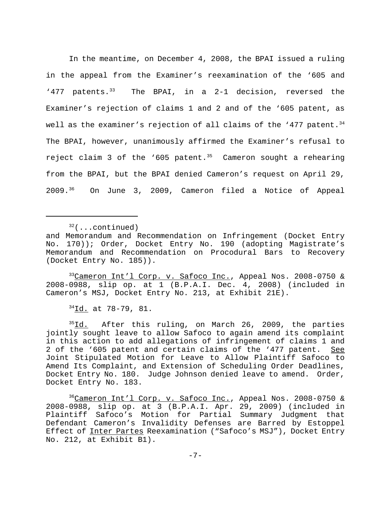In the meantime, on December 4, 2008, the BPAI issued a ruling in the appeal from the Examiner's reexamination of the '605 and '477 patents. $33$  The BPAI, in a 2-1 decision, reversed the Examiner's rejection of claims 1 and 2 and of the '605 patent, as well as the examiner's rejection of all claims of the '477 patent.<sup>34</sup> The BPAI, however, unanimously affirmed the Examiner's refusal to reject claim 3 of the '605 patent.<sup>35</sup> Cameron sought a rehearing from the BPAI, but the BPAI denied Cameron's request on April 29, 2009.36 On June 3, 2009, Cameron filed a Notice of Appeal

 $32$ (...continued)

33Cameron Int'l Corp. v. Safoco Inc., Appeal Nos. 2008-0750 & 2008-0988, slip op. at 1 (B.P.A.I. Dec. 4, 2008) (included in Cameron's MSJ, Docket Entry No. 213, at Exhibit 21E).

 $34$ Id. at 78-79, 81.

<sup>35</sup>Id. After this ruling, on March 26, 2009, the parties jointly sought leave to allow Safoco to again amend its complaint in this action to add allegations of infringement of claims 1 and 2 of the '605 patent and certain claims of the '477 patent. See Joint Stipulated Motion for Leave to Allow Plaintiff Safoco to Amend Its Complaint, and Extension of Scheduling Order Deadlines, Docket Entry No. 180. Judge Johnson denied leave to amend. Order, Docket Entry No. 183.

<sup>36</sup>Cameron Int'l Corp. v. Safoco Inc., Appeal Nos. 2008-0750 & 2008-0988, slip op. at 3 (B.P.A.I. Apr. 29, 2009) (included in Plaintiff Safoco's Motion for Partial Summary Judgment that Defendant Cameron's Invalidity Defenses are Barred by Estoppel Effect of Inter Partes Reexamination ("Safoco's MSJ"), Docket Entry No. 212, at Exhibit B1).

and Memorandum and Recommendation on Infringement (Docket Entry No. 170)); Order, Docket Entry No. 190 (adopting Magistrate's Memorandum and Recommendation on Procodural Bars to Recovery (Docket Entry No. 185)).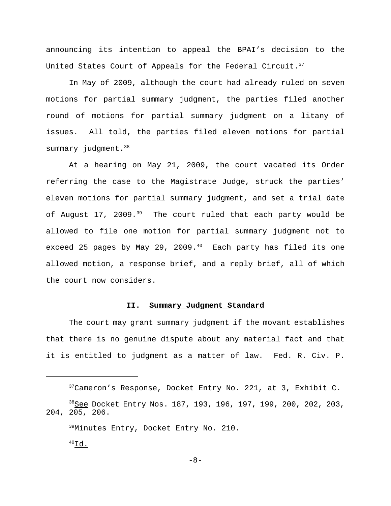announcing its intention to appeal the BPAI's decision to the United States Court of Appeals for the Federal Circuit. $3^7$ 

In May of 2009, although the court had already ruled on seven motions for partial summary judgment, the parties filed another round of motions for partial summary judgment on a litany of issues. All told, the parties filed eleven motions for partial summary judgment.<sup>38</sup>

At a hearing on May 21, 2009, the court vacated its Order referring the case to the Magistrate Judge, struck the parties' eleven motions for partial summary judgment, and set a trial date of August 17, 2009. $39$  The court ruled that each party would be allowed to file one motion for partial summary judgment not to exceed 25 pages by May 29, 2009. $40$  Each party has filed its one allowed motion, a response brief, and a reply brief, all of which the court now considers.

### **II. Summary Judgment Standard**

The court may grant summary judgment if the movant establishes that there is no genuine dispute about any material fact and that it is entitled to judgment as a matter of law. Fed. R. Civ. P.

<sup>37</sup>Cameron's Response, Docket Entry No. 221, at 3, Exhibit C. 38See Docket Entry Nos. 187, 193, 196, 197, 199, 200, 202, 203, 204, 205, 206. <sup>39</sup>Minutes Entry, Docket Entry No. 210.  $^{40}$ Id.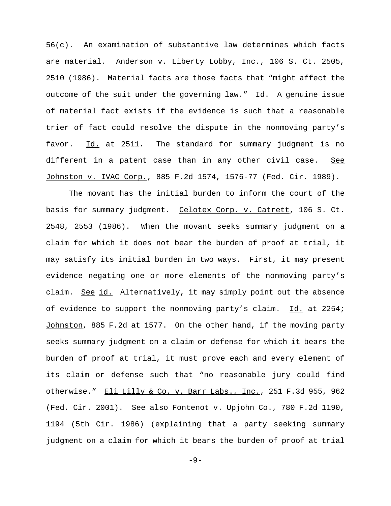56(c). An examination of substantive law determines which facts are material. Anderson v. Liberty Lobby, Inc., 106 S. Ct. 2505, 2510 (1986). Material facts are those facts that "might affect the outcome of the suit under the governing law." Id. A genuine issue of material fact exists if the evidence is such that a reasonable trier of fact could resolve the dispute in the nonmoving party's favor. Id. at 2511. The standard for summary judgment is no different in a patent case than in any other civil case. See Johnston v. IVAC Corp., 885 F.2d 1574, 1576-77 (Fed. Cir. 1989).

The movant has the initial burden to inform the court of the basis for summary judgment. Celotex Corp. v. Catrett, 106 S. Ct. 2548, 2553 (1986). When the movant seeks summary judgment on a claim for which it does not bear the burden of proof at trial, it may satisfy its initial burden in two ways. First, it may present evidence negating one or more elements of the nonmoving party's claim. See id. Alternatively, it may simply point out the absence of evidence to support the nonmoving party's claim. Id. at 2254; Johnston, 885 F.2d at 1577. On the other hand, if the moving party seeks summary judgment on a claim or defense for which it bears the burden of proof at trial, it must prove each and every element of its claim or defense such that "no reasonable jury could find otherwise." Eli Lilly & Co. v. Barr Labs., Inc., 251 F.3d 955, 962 (Fed. Cir. 2001). See also Fontenot v. Upjohn Co., 780 F.2d 1190, 1194 (5th Cir. 1986) (explaining that a party seeking summary judgment on a claim for which it bears the burden of proof at trial

 $-9-$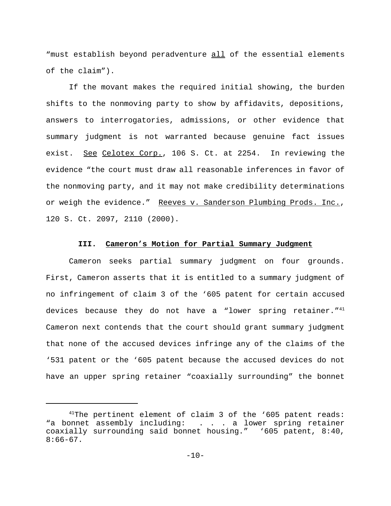"must establish beyond peradventure all of the essential elements of the claim").

If the movant makes the required initial showing, the burden shifts to the nonmoving party to show by affidavits, depositions, answers to interrogatories, admissions, or other evidence that summary judgment is not warranted because genuine fact issues exist. See Celotex Corp., 106 S. Ct. at 2254. In reviewing the evidence "the court must draw all reasonable inferences in favor of the nonmoving party, and it may not make credibility determinations or weigh the evidence." Reeves v. Sanderson Plumbing Prods. Inc., 120 S. Ct. 2097, 2110 (2000).

## **III. Cameron's Motion for Partial Summary Judgment**

Cameron seeks partial summary judgment on four grounds. First, Cameron asserts that it is entitled to a summary judgment of no infringement of claim 3 of the '605 patent for certain accused devices because they do not have a "lower spring retainer."<sup>41</sup> Cameron next contends that the court should grant summary judgment that none of the accused devices infringe any of the claims of the '531 patent or the '605 patent because the accused devices do not have an upper spring retainer "coaxially surrounding" the bonnet

<sup>&</sup>lt;sup>41</sup>The pertinent element of claim 3 of the '605 patent reads: "a bonnet assembly including: . . . a lower spring retainer coaxially surrounding said bonnet housing." '605 patent, 8:40,  $8:66-67$ .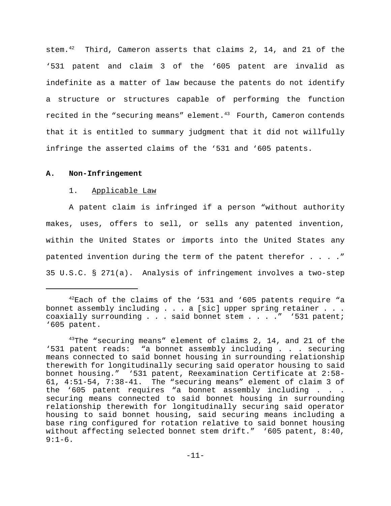stem.<sup>42</sup> Third, Cameron asserts that claims 2, 14, and 21 of the '531 patent and claim 3 of the '605 patent are invalid as indefinite as a matter of law because the patents do not identify a structure or structures capable of performing the function recited in the "securing means" element. $43$  Fourth, Cameron contends that it is entitled to summary judgment that it did not willfully infringe the asserted claims of the '531 and '605 patents.

### **A. Non-Infringement**

#### 1. Applicable Law

A patent claim is infringed if a person "without authority makes, uses, offers to sell, or sells any patented invention, within the United States or imports into the United States any patented invention during the term of the patent therefor . . . ." 35 U.S.C. § 271(a). Analysis of infringement involves a two-step

 $42$ Each of the claims of the '531 and '605 patents require "a bonnet assembly including . . . a [sic] upper spring retainer . . . coaxially surrounding . . . said bonnet stem . . . . " '531 patent; '605 patent.

 $43$ The "securing means" element of claims 2, 14, and 21 of the '531 patent reads: "a bonnet assembly including . . . securing means connected to said bonnet housing in surrounding relationship therewith for longitudinally securing said operator housing to said bonnet housing." '531 patent, Reexamination Certificate at 2:58- 61, 4:51-54, 7:38-41. The "securing means" element of claim 3 of the '605 patent requires "a bonnet assembly including . . . securing means connected to said bonnet housing in surrounding relationship therewith for longitudinally securing said operator housing to said bonnet housing, said securing means including a base ring configured for rotation relative to said bonnet housing without affecting selected bonnet stem drift." '605 patent, 8:40,  $9:1-6.$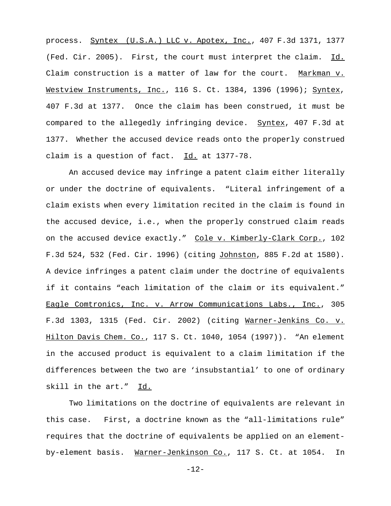process. Syntex (U.S.A.) LLC v. Apotex, Inc., 407 F.3d 1371, 1377 (Fed. Cir. 2005). First, the court must interpret the claim. Id. Claim construction is a matter of law for the court. Markman v. Westview Instruments, Inc., 116 S. Ct. 1384, 1396 (1996); Syntex, 407 F.3d at 1377. Once the claim has been construed, it must be compared to the allegedly infringing device. Syntex, 407 F.3d at 1377. Whether the accused device reads onto the properly construed claim is a question of fact. Id. at 1377-78.

An accused device may infringe a patent claim either literally or under the doctrine of equivalents. "Literal infringement of a claim exists when every limitation recited in the claim is found in the accused device, i.e., when the properly construed claim reads on the accused device exactly." Cole v. Kimberly-Clark Corp., 102 F.3d 524, 532 (Fed. Cir. 1996) (citing Johnston, 885 F.2d at 1580). A device infringes a patent claim under the doctrine of equivalents if it contains "each limitation of the claim or its equivalent." Eagle Comtronics, Inc. v. Arrow Communications Labs., Inc., 305 F.3d 1303, 1315 (Fed. Cir. 2002) (citing Warner-Jenkins Co. v. Hilton Davis Chem. Co., 117 S. Ct. 1040, 1054 (1997)). "An element in the accused product is equivalent to a claim limitation if the differences between the two are 'insubstantial' to one of ordinary skill in the art." Id.

Two limitations on the doctrine of equivalents are relevant in this case. First, a doctrine known as the "all-limitations rule" requires that the doctrine of equivalents be applied on an elementby-element basis. Warner-Jenkinson Co., 117 S. Ct. at 1054. In

-12-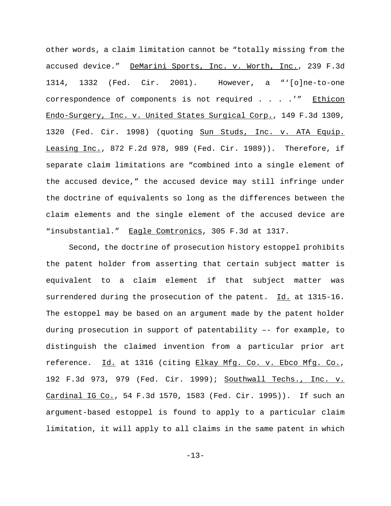other words, a claim limitation cannot be "totally missing from the accused device." DeMarini Sports, Inc. v. Worth, Inc., 239 F.3d 1314, 1332 (Fed. Cir. 2001). However, a "'[o]ne-to-one correspondence of components is not required . . . .'" Ethicon Endo-Surgery, Inc. v. United States Surgical Corp., 149 F.3d 1309, 1320 (Fed. Cir. 1998) (quoting Sun Studs, Inc. v. ATA Equip. Leasing Inc., 872 F.2d 978, 989 (Fed. Cir. 1989)). Therefore, if separate claim limitations are "combined into a single element of the accused device," the accused device may still infringe under the doctrine of equivalents so long as the differences between the claim elements and the single element of the accused device are "insubstantial." Eagle Comtronics, 305 F.3d at 1317.

Second, the doctrine of prosecution history estoppel prohibits the patent holder from asserting that certain subject matter is equivalent to a claim element if that subject matter was surrendered during the prosecution of the patent. Id. at 1315-16. The estoppel may be based on an argument made by the patent holder during prosecution in support of patentability –- for example, to distinguish the claimed invention from a particular prior art reference. Id. at 1316 (citing Elkay Mfg. Co. v. Ebco Mfg. Co., 192 F.3d 973, 979 (Fed. Cir. 1999); Southwall Techs., Inc. v. Cardinal IG Co., 54 F.3d 1570, 1583 (Fed. Cir. 1995)). If such an argument-based estoppel is found to apply to a particular claim limitation, it will apply to all claims in the same patent in which

-13-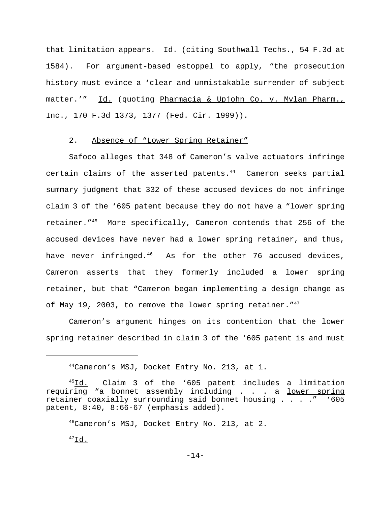that limitation appears. Id. (citing Southwall Techs., 54 F.3d at 1584). For argument-based estoppel to apply, "the prosecution history must evince a 'clear and unmistakable surrender of subject matter.'" Id. (quoting Pharmacia & Upjohn Co. v. Mylan Pharm., Inc., 170 F.3d 1373, 1377 (Fed. Cir. 1999)).

## 2. Absence of "Lower Spring Retainer"

Safoco alleges that 348 of Cameron's valve actuators infringe certain claims of the asserted patents. $44$  Cameron seeks partial summary judgment that 332 of these accused devices do not infringe claim 3 of the '605 patent because they do not have a "lower spring retainer."45 More specifically, Cameron contends that 256 of the accused devices have never had a lower spring retainer, and thus, have never infringed. $46$  As for the other 76 accused devices, Cameron asserts that they formerly included a lower spring retainer, but that "Cameron began implementing a design change as of May 19, 2003, to remove the lower spring retainer. "<sup>47</sup>

Cameron's argument hinges on its contention that the lower spring retainer described in claim 3 of the '605 patent is and must

 $^{47}$ Id.

<sup>44</sup>Cameron's MSJ, Docket Entry No. 213, at 1.

<sup>&</sup>lt;sup>45</sup>Id. Claim 3 of the '605 patent includes a limitation requiring "a bonnet assembly including . . . a lower spring retainer coaxially surrounding said bonnet housing . . . ." '605 patent, 8:40, 8:66-67 (emphasis added).

<sup>46</sup>Cameron's MSJ, Docket Entry No. 213, at 2.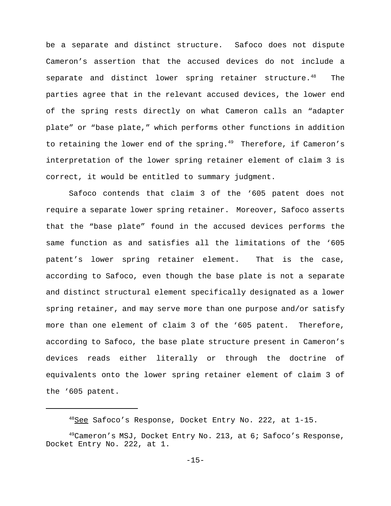be a separate and distinct structure. Safoco does not dispute Cameron's assertion that the accused devices do not include a separate and distinct lower spring retainer structure.<sup>48</sup> The parties agree that in the relevant accused devices, the lower end of the spring rests directly on what Cameron calls an "adapter plate" or "base plate," which performs other functions in addition to retaining the lower end of the spring. $49$  Therefore, if Cameron's interpretation of the lower spring retainer element of claim 3 is correct, it would be entitled to summary judgment.

Safoco contends that claim 3 of the '605 patent does not require a separate lower spring retainer. Moreover, Safoco asserts that the "base plate" found in the accused devices performs the same function as and satisfies all the limitations of the '605 patent's lower spring retainer element. That is the case, according to Safoco, even though the base plate is not a separate and distinct structural element specifically designated as a lower spring retainer, and may serve more than one purpose and/or satisfy more than one element of claim 3 of the '605 patent. Therefore, according to Safoco, the base plate structure present in Cameron's devices reads either literally or through the doctrine of equivalents onto the lower spring retainer element of claim 3 of the '605 patent.

<sup>&</sup>lt;sup>48</sup>See Safoco's Response, Docket Entry No. 222, at 1-15.

 $^{49}$ Cameron's MSJ, Docket Entry No. 213, at 6; Safoco's Response, Docket Entry No. 222, at 1.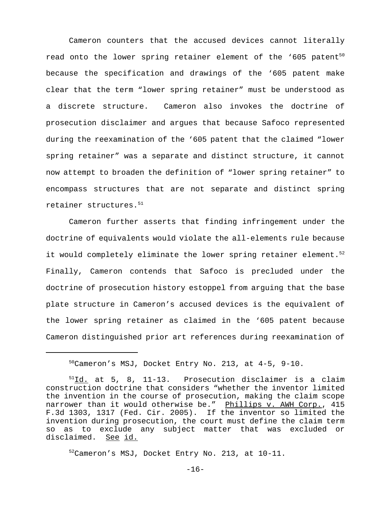Cameron counters that the accused devices cannot literally read onto the lower spring retainer element of the '605 patent<sup>50</sup> because the specification and drawings of the '605 patent make clear that the term "lower spring retainer" must be understood as a discrete structure. Cameron also invokes the doctrine of prosecution disclaimer and argues that because Safoco represented during the reexamination of the '605 patent that the claimed "lower spring retainer" was a separate and distinct structure, it cannot now attempt to broaden the definition of "lower spring retainer" to encompass structures that are not separate and distinct spring retainer structures.<sup>51</sup>

Cameron further asserts that finding infringement under the doctrine of equivalents would violate the all-elements rule because it would completely eliminate the lower spring retainer element. $5<sup>2</sup>$ Finally, Cameron contends that Safoco is precluded under the doctrine of prosecution history estoppel from arguing that the base plate structure in Cameron's accused devices is the equivalent of the lower spring retainer as claimed in the '605 patent because Cameron distinguished prior art references during reexamination of

52Cameron's MSJ, Docket Entry No. 213, at 10-11.

 $-16-$ 

<sup>50</sup>Cameron's MSJ, Docket Entry No. 213, at 4-5, 9-10.

 $51$ Id. at 5, 8, 11-13. Prosecution disclaimer is a claim construction doctrine that considers "whether the inventor limited the invention in the course of prosecution, making the claim scope narrower than it would otherwise be." Phillips v. AWH Corp., 415 F.3d 1303, 1317 (Fed. Cir. 2005). If the inventor so limited the invention during prosecution, the court must define the claim term so as to exclude any subject matter that was excluded or disclaimed. See id.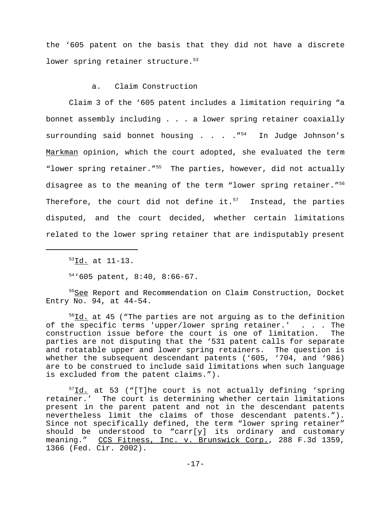the '605 patent on the basis that they did not have a discrete lower spring retainer structure.<sup>53</sup>

## a. Claim Construction

Claim 3 of the '605 patent includes a limitation requiring "a bonnet assembly including . . . a lower spring retainer coaxially surrounding said bonnet housing . . .  $\cdot$   $\cdot$   $^{154}$  In Judge Johnson's Markman opinion, which the court adopted, she evaluated the term "lower spring retainer."55 The parties, however, did not actually disagree as to the meaning of the term "lower spring retainer."<sup>56</sup> Therefore, the court did not define it. $57$  Instead, the parties disputed, and the court decided, whether certain limitations related to the lower spring retainer that are indisputably present

 $54'$ '605 patent, 8:40, 8:66-67.

<sup>55</sup>See Report and Recommendation on Claim Construction, Docket Entry No. 94, at 44-54.

 $56$ Id. at 45 ("The parties are not arguing as to the definition of the specific terms 'upper/lower spring retainer.' . . . The construction issue before the court is one of limitation. The parties are not disputing that the '531 patent calls for separate and rotatable upper and lower spring retainers. The question is whether the subsequent descendant patents ('605, '704, and '986) are to be construed to include said limitations when such language is excluded from the patent claims.").

 $57$ Id. at 53 ("[T]he court is not actually defining 'spring retainer.' The court is determining whether certain limitations present in the parent patent and not in the descendant patents nevertheless limit the claims of those descendant patents."). Since not specifically defined, the term "lower spring retainer" should be understood to "carr[y] its ordinary and customary meaning." CCS Fitness, Inc. v. Brunswick Corp., 288 F.3d 1359, 1366 (Fed. Cir. 2002).

<sup>53</sup>Id. at 11-13.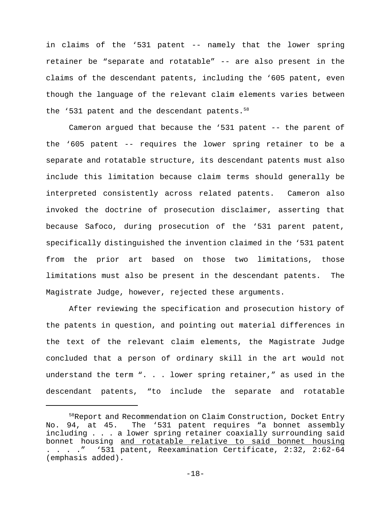in claims of the '531 patent -- namely that the lower spring retainer be "separate and rotatable" -- are also present in the claims of the descendant patents, including the '605 patent, even though the language of the relevant claim elements varies between the '531 patent and the descendant patents.<sup>58</sup>

Cameron argued that because the '531 patent -- the parent of the '605 patent -- requires the lower spring retainer to be a separate and rotatable structure, its descendant patents must also include this limitation because claim terms should generally be interpreted consistently across related patents. Cameron also invoked the doctrine of prosecution disclaimer, asserting that because Safoco, during prosecution of the '531 parent patent, specifically distinguished the invention claimed in the '531 patent from the prior art based on those two limitations, those limitations must also be present in the descendant patents. The Magistrate Judge, however, rejected these arguments.

After reviewing the specification and prosecution history of the patents in question, and pointing out material differences in the text of the relevant claim elements, the Magistrate Judge concluded that a person of ordinary skill in the art would not understand the term ". . . lower spring retainer," as used in the descendant patents, "to include the separate and rotatable

<sup>58</sup>Report and Recommendation on Claim Construction, Docket Entry No. 94, at 45. The '531 patent requires "a bonnet assembly including . . . a lower spring retainer coaxially surrounding said bonnet housing and rotatable relative to said bonnet housing . . . ." '531 patent, Reexamination Certificate, 2:32, 2:62-64 (emphasis added).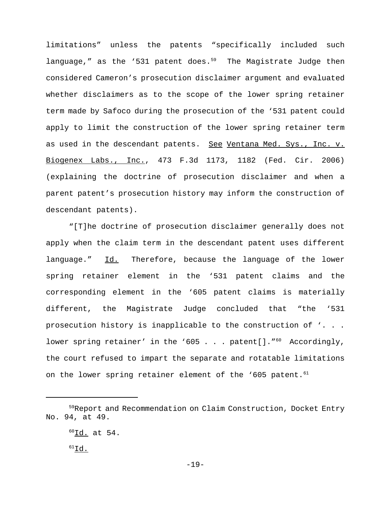limitations" unless the patents "specifically included such language," as the '531 patent does. $59$  The Magistrate Judge then considered Cameron's prosecution disclaimer argument and evaluated whether disclaimers as to the scope of the lower spring retainer term made by Safoco during the prosecution of the '531 patent could apply to limit the construction of the lower spring retainer term as used in the descendant patents. See Ventana Med. Sys., Inc. v. Biogenex Labs., Inc., 473 F.3d 1173, 1182 (Fed. Cir. 2006) (explaining the doctrine of prosecution disclaimer and when a parent patent's prosecution history may inform the construction of descendant patents).

"[T]he doctrine of prosecution disclaimer generally does not apply when the claim term in the descendant patent uses different language." Id. Therefore, because the language of the lower spring retainer element in the '531 patent claims and the corresponding element in the '605 patent claims is materially different, the Magistrate Judge concluded that "the '531 prosecution history is inapplicable to the construction of '. . . lower spring retainer' in the '605 . . . patent[]." $60$  Accordingly, the court refused to impart the separate and rotatable limitations on the lower spring retainer element of the '605 patent.<sup>61</sup>

<sup>59</sup>Report and Recommendation on Claim Construction, Docket Entry No. 94, at 49.

 ${}^{60}$ Id. at 54.

 $61$ Id.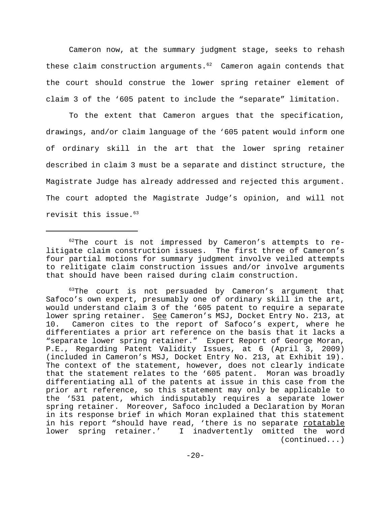Cameron now, at the summary judgment stage, seeks to rehash these claim construction arguments. $62$  Cameron again contends that the court should construe the lower spring retainer element of claim 3 of the '605 patent to include the "separate" limitation.

To the extent that Cameron argues that the specification, drawings, and/or claim language of the '605 patent would inform one of ordinary skill in the art that the lower spring retainer described in claim 3 must be a separate and distinct structure, the Magistrate Judge has already addressed and rejected this argument. The court adopted the Magistrate Judge's opinion, and will not revisit this issue. $63$ 

 $63$ The court is not persuaded by Cameron's argument that Safoco's own expert, presumably one of ordinary skill in the art, would understand claim 3 of the '605 patent to require a separate lower spring retainer. See Cameron's MSJ, Docket Entry No. 213, at 10. Cameron cites to the report of Safoco's expert, where he differentiates a prior art reference on the basis that it lacks a "separate lower spring retainer." Expert Report of George Moran, P.E., Regarding Patent Validity Issues, at 6 (April 3, 2009) (included in Cameron's MSJ, Docket Entry No. 213, at Exhibit 19). The context of the statement, however, does not clearly indicate that the statement relates to the '605 patent. Moran was broadly differentiating all of the patents at issue in this case from the prior art reference, so this statement may only be applicable to the '531 patent, which indisputably requires a separate lower spring retainer. Moreover, Safoco included a Declaration by Moran in its response brief in which Moran explained that this statement in his report "should have read, 'there is no separate rotatable lower spring retainer.' I inadvertently omitted the word (continued...)

 $62$ The court is not impressed by Cameron's attempts to relitigate claim construction issues. The first three of Cameron's four partial motions for summary judgment involve veiled attempts to relitigate claim construction issues and/or involve arguments that should have been raised during claim construction.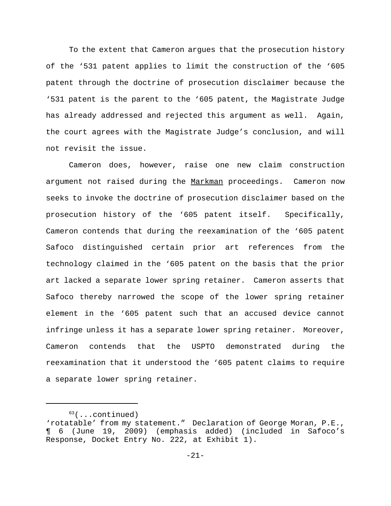To the extent that Cameron argues that the prosecution history of the '531 patent applies to limit the construction of the '605 patent through the doctrine of prosecution disclaimer because the '531 patent is the parent to the '605 patent, the Magistrate Judge has already addressed and rejected this argument as well. Again, the court agrees with the Magistrate Judge's conclusion, and will not revisit the issue.

Cameron does, however, raise one new claim construction argument not raised during the Markman proceedings. Cameron now seeks to invoke the doctrine of prosecution disclaimer based on the prosecution history of the '605 patent itself. Specifically, Cameron contends that during the reexamination of the '605 patent Safoco distinguished certain prior art references from the technology claimed in the '605 patent on the basis that the prior art lacked a separate lower spring retainer. Cameron asserts that Safoco thereby narrowed the scope of the lower spring retainer element in the '605 patent such that an accused device cannot infringe unless it has a separate lower spring retainer. Moreover, Cameron contends that the USPTO demonstrated during the reexamination that it understood the '605 patent claims to require a separate lower spring retainer.

 $63$ (...continued)

<sup>&#</sup>x27;rotatable' from my statement." Declaration of George Moran, P.E., ¶ 6 (June 19, 2009) (emphasis added) (included in Safoco's Response, Docket Entry No. 222, at Exhibit 1).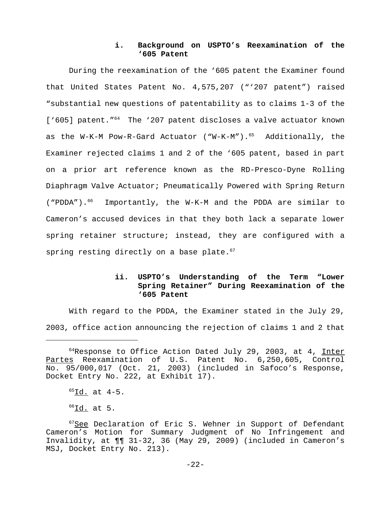# **i. Background on USPTO's Reexamination of the '605 Patent**

During the reexamination of the '605 patent the Examiner found that United States Patent No. 4,575,207 ("'207 patent") raised "substantial new questions of patentability as to claims 1-3 of the ['605] patent."<sup>64</sup> The '207 patent discloses a valve actuator known as the W-K-M Pow-R-Gard Actuator ("W-K-M"). $65$  Additionally, the Examiner rejected claims 1 and 2 of the '605 patent, based in part on a prior art reference known as the RD-Presco-Dyne Rolling Diaphragm Valve Actuator; Pneumatically Powered with Spring Return ("PDDA").<sup>66</sup> Importantly, the W-K-M and the PDDA are similar to Cameron's accused devices in that they both lack a separate lower spring retainer structure; instead, they are configured with a spring resting directly on a base plate. $57$ 

# **ii. USPTO's Understanding of the Term "Lower Spring Retainer" During Reexamination of the '605 Patent**

With regard to the PDDA, the Examiner stated in the July 29, 2003, office action announcing the rejection of claims 1 and 2 that

 $<sup>66</sup>Id.$  at 5.</sup>

 $64$ Response to Office Action Dated July 29, 2003, at 4, Inter Partes Reexamination of U.S. Patent No. 6,250,605, Control No. 95/000,017 (Oct. 21, 2003) (included in Safoco's Response, Docket Entry No. 222, at Exhibit 17).

 $65$ Id. at  $4-5$ .

 $67$ See Declaration of Eric S. Wehner in Support of Defendant Cameron's Motion for Summary Judgment of No Infringement and Invalidity, at ¶¶ 31-32, 36 (May 29, 2009) (included in Cameron's MSJ, Docket Entry No. 213).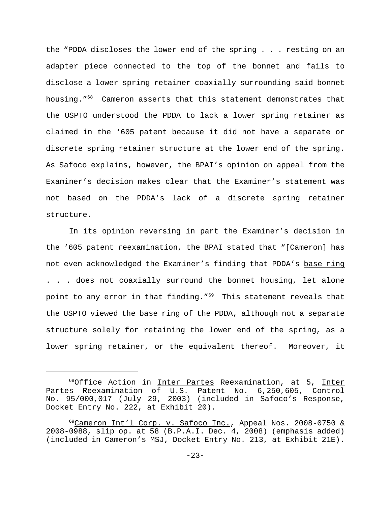the "PDDA discloses the lower end of the spring . . . resting on an adapter piece connected to the top of the bonnet and fails to disclose a lower spring retainer coaxially surrounding said bonnet housing."68 Cameron asserts that this statement demonstrates that the USPTO understood the PDDA to lack a lower spring retainer as claimed in the '605 patent because it did not have a separate or discrete spring retainer structure at the lower end of the spring. As Safoco explains, however, the BPAI's opinion on appeal from the Examiner's decision makes clear that the Examiner's statement was not based on the PDDA's lack of a discrete spring retainer structure.

In its opinion reversing in part the Examiner's decision in the '605 patent reexamination, the BPAI stated that "[Cameron] has not even acknowledged the Examiner's finding that PDDA's base ring . . . does not coaxially surround the bonnet housing, let alone point to any error in that finding."<sup>69</sup> This statement reveals that the USPTO viewed the base ring of the PDDA, although not a separate structure solely for retaining the lower end of the spring, as a lower spring retainer, or the equivalent thereof. Moreover, it

<sup>&</sup>lt;sup>68</sup>Office Action in Inter Partes Reexamination, at 5, Inter Partes Reexamination of U.S. Patent No. 6,250,605, Control No. 95/000,017 (July 29, 2003) (included in Safoco's Response, Docket Entry No. 222, at Exhibit 20).

<sup>&</sup>lt;sup>69</sup>Cameron Int'l Corp. v. Safoco Inc., Appeal Nos. 2008-0750 & 2008-0988, slip op. at 58 (B.P.A.I. Dec. 4, 2008) (emphasis added) (included in Cameron's MSJ, Docket Entry No. 213, at Exhibit 21E).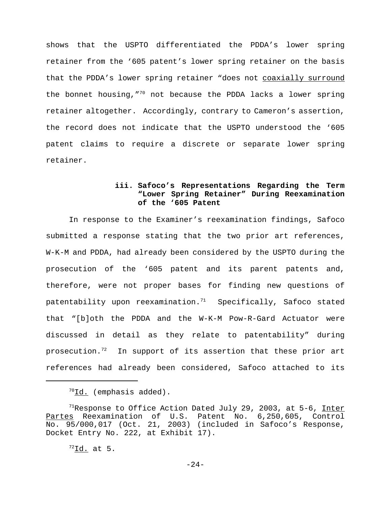shows that the USPTO differentiated the PDDA's lower spring retainer from the '605 patent's lower spring retainer on the basis that the PDDA's lower spring retainer "does not coaxially surround the bonnet housing,  $70$  not because the PDDA lacks a lower spring retainer altogether. Accordingly, contrary to Cameron's assertion, the record does not indicate that the USPTO understood the '605 patent claims to require a discrete or separate lower spring retainer.

# **iii. Safoco's Representations Regarding the Term "Lower Spring Retainer" During Reexamination of the '605 Patent**

In response to the Examiner's reexamination findings, Safoco submitted a response stating that the two prior art references, W-K-M and PDDA, had already been considered by the USPTO during the prosecution of the '605 patent and its parent patents and, therefore, were not proper bases for finding new questions of patentability upon reexamination. $71$  Specifically, Safoco stated that "[b]oth the PDDA and the W-K-M Pow-R-Gard Actuator were discussed in detail as they relate to patentability" during prosecution.<sup>72</sup> In support of its assertion that these prior art references had already been considered, Safoco attached to its

 $72$ Id. at 5.

 $70$ Id. (emphasis added).

<sup>&</sup>lt;sup>71</sup>Response to Office Action Dated July 29, 2003, at 5-6, Inter Partes Reexamination of U.S. Patent No. 6,250,605, Control No. 95/000,017 (Oct. 21, 2003) (included in Safoco's Response, Docket Entry No. 222, at Exhibit 17).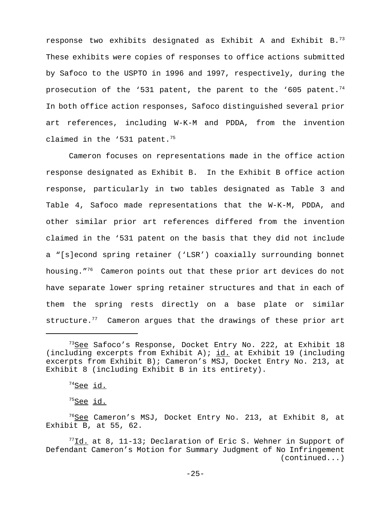response two exhibits designated as Exhibit A and Exhibit B.73 These exhibits were copies of responses to office actions submitted by Safoco to the USPTO in 1996 and 1997, respectively, during the prosecution of the '531 patent, the parent to the '605 patent.<sup>74</sup> In both office action responses, Safoco distinguished several prior art references, including W-K-M and PDDA, from the invention claimed in the '531 patent.<sup>75</sup>

Cameron focuses on representations made in the office action response designated as Exhibit B. In the Exhibit B office action response, particularly in two tables designated as Table 3 and Table 4, Safoco made representations that the W-K-M, PDDA, and other similar prior art references differed from the invention claimed in the '531 patent on the basis that they did not include a "[s]econd spring retainer ('LSR') coaxially surrounding bonnet housing."76 Cameron points out that these prior art devices do not have separate lower spring retainer structures and that in each of them the spring rests directly on a base plate or similar structure. $77$  Cameron argues that the drawings of these prior art

<sup>&</sup>lt;sup>73</sup>See Safoco's Response, Docket Entry No. 222, at Exhibit 18 (including excerpts from Exhibit A); id. at Exhibit 19 (including excerpts from Exhibit B); Cameron's MSJ, Docket Entry No. 213, at Exhibit 8 (including Exhibit B in its entirety).

 $74$ See id.

 $75$ See id.

 $76$ See Cameron's MSJ, Docket Entry No. 213, at Exhibit 8, at Exhibit B, at 55, 62.

 $77$ Id. at 8, 11-13; Declaration of Eric S. Wehner in Support of Defendant Cameron's Motion for Summary Judgment of No Infringement (continued...)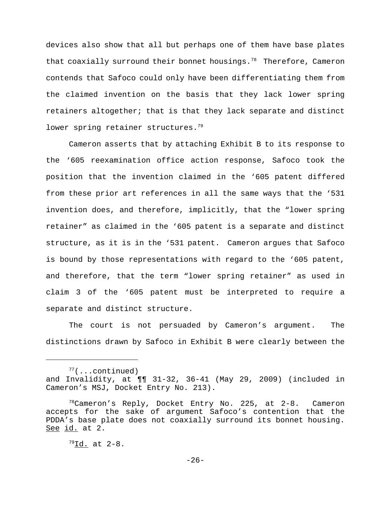devices also show that all but perhaps one of them have base plates that coaxially surround their bonnet housings.<sup>78</sup> Therefore, Cameron contends that Safoco could only have been differentiating them from the claimed invention on the basis that they lack lower spring retainers altogether; that is that they lack separate and distinct lower spring retainer structures.<sup>79</sup>

Cameron asserts that by attaching Exhibit B to its response to the '605 reexamination office action response, Safoco took the position that the invention claimed in the '605 patent differed from these prior art references in all the same ways that the '531 invention does, and therefore, implicitly, that the "lower spring retainer" as claimed in the '605 patent is a separate and distinct structure, as it is in the '531 patent. Cameron argues that Safoco is bound by those representations with regard to the '605 patent, and therefore, that the term "lower spring retainer" as used in claim 3 of the '605 patent must be interpreted to require a separate and distinct structure.

The court is not persuaded by Cameron's argument. The distinctions drawn by Safoco in Exhibit B were clearly between the

 $77$ (...continued) and Invalidity, at ¶¶ 31-32, 36-41 (May 29, 2009) (included in Cameron's MSJ, Docket Entry No. 213).

 $78$ Cameron's Reply, Docket Entry No. 225, at 2-8. Cameron accepts for the sake of argument Safoco's contention that the PDDA's base plate does not coaxially surround its bonnet housing. See id. at 2.

 $^{79}$ Id. at 2-8.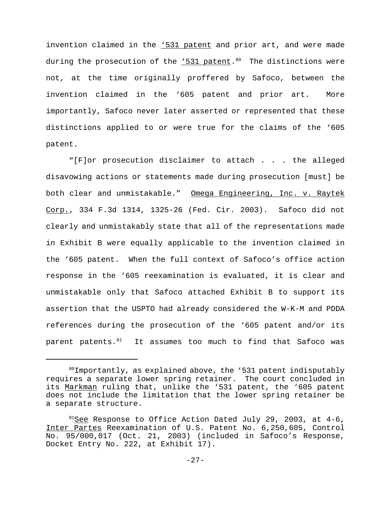invention claimed in the '531 patent and prior art, and were made during the prosecution of the  $.531$  patent.<sup>80</sup> The distinctions were not, at the time originally proffered by Safoco, between the invention claimed in the '605 patent and prior art. More importantly, Safoco never later asserted or represented that these distinctions applied to or were true for the claims of the '605 patent.

"[F]or prosecution disclaimer to attach . . . the alleged disavowing actions or statements made during prosecution [must] be both clear and unmistakable." Omega Engineering, Inc. v. Raytek Corp., 334 F.3d 1314, 1325-26 (Fed. Cir. 2003). Safoco did not clearly and unmistakably state that all of the representations made in Exhibit B were equally applicable to the invention claimed in the '605 patent. When the full context of Safoco's office action response in the '605 reexamination is evaluated, it is clear and unmistakable only that Safoco attached Exhibit B to support its assertion that the USPTO had already considered the W-K-M and PDDA references during the prosecution of the '605 patent and/or its parent patents. $81$  It assumes too much to find that Safoco was

 $80$ Importantly, as explained above, the '531 patent indisputably requires a separate lower spring retainer. The court concluded in its Markman ruling that, unlike the '531 patent, the '605 patent does not include the limitation that the lower spring retainer be a separate structure.

 $81$ See Response to Office Action Dated July 29, 2003, at 4-6, Inter Partes Reexamination of U.S. Patent No. 6,250,605, Control No. 95/000,017 (Oct. 21, 2003) (included in Safoco's Response, Docket Entry No. 222, at Exhibit 17).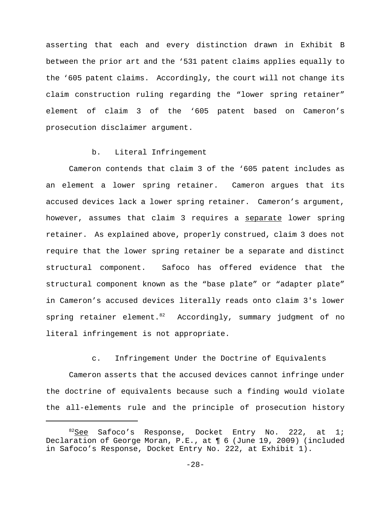asserting that each and every distinction drawn in Exhibit B between the prior art and the '531 patent claims applies equally to the '605 patent claims. Accordingly, the court will not change its claim construction ruling regarding the "lower spring retainer" element of claim 3 of the '605 patent based on Cameron's prosecution disclaimer argument.

### b. Literal Infringement

Cameron contends that claim 3 of the '605 patent includes as an element a lower spring retainer. Cameron argues that its accused devices lack a lower spring retainer. Cameron's argument, however, assumes that claim 3 requires a separate lower spring retainer. As explained above, properly construed, claim 3 does not require that the lower spring retainer be a separate and distinct structural component. Safoco has offered evidence that the structural component known as the "base plate" or "adapter plate" in Cameron's accused devices literally reads onto claim 3's lower spring retainer element. $82$  Accordingly, summary judgment of no literal infringement is not appropriate.

c. Infringement Under the Doctrine of Equivalents

Cameron asserts that the accused devices cannot infringe under the doctrine of equivalents because such a finding would violate the all-elements rule and the principle of prosecution history

 $82$ See Safoco's Response, Docket Entry No. 222, at 1; Declaration of George Moran, P.E., at ¶ 6 (June 19, 2009) (included in Safoco's Response, Docket Entry No. 222, at Exhibit 1).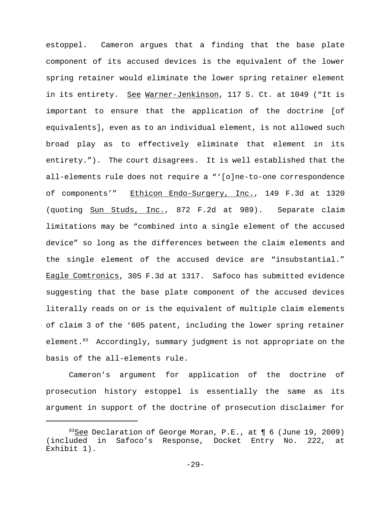estoppel. Cameron argues that a finding that the base plate component of its accused devices is the equivalent of the lower spring retainer would eliminate the lower spring retainer element in its entirety. See Warner-Jenkinson, 117 S. Ct. at 1049 ("It is important to ensure that the application of the doctrine [of equivalents], even as to an individual element, is not allowed such broad play as to effectively eliminate that element in its entirety."). The court disagrees. It is well established that the all-elements rule does not require a "'[o]ne-to-one correspondence of components'" Ethicon Endo-Surgery, Inc., 149 F.3d at 1320 (quoting Sun Studs, Inc., 872 F.2d at 989). Separate claim limitations may be "combined into a single element of the accused device" so long as the differences between the claim elements and the single element of the accused device are "insubstantial." Eagle Comtronics, 305 F.3d at 1317. Safoco has submitted evidence suggesting that the base plate component of the accused devices literally reads on or is the equivalent of multiple claim elements of claim 3 of the '605 patent, including the lower spring retainer element.<sup>83</sup> Accordingly, summary judgment is not appropriate on the basis of the all-elements rule.

Cameron's argument for application of the doctrine of prosecution history estoppel is essentially the same as its argument in support of the doctrine of prosecution disclaimer for

 $83$ See Declaration of George Moran, P.E., at  $\P$  6 (June 19, 2009) (included in Safoco's Response, Docket Entry No. 222, at Exhibit 1).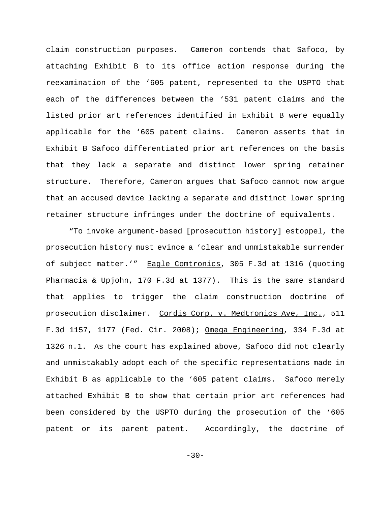claim construction purposes. Cameron contends that Safoco, by attaching Exhibit B to its office action response during the reexamination of the '605 patent, represented to the USPTO that each of the differences between the '531 patent claims and the listed prior art references identified in Exhibit B were equally applicable for the '605 patent claims. Cameron asserts that in Exhibit B Safoco differentiated prior art references on the basis that they lack a separate and distinct lower spring retainer structure. Therefore, Cameron argues that Safoco cannot now argue that an accused device lacking a separate and distinct lower spring retainer structure infringes under the doctrine of equivalents.

"To invoke argument-based [prosecution history] estoppel, the prosecution history must evince a 'clear and unmistakable surrender of subject matter.'" Eagle Comtronics, 305 F.3d at 1316 (quoting Pharmacia & Upjohn, 170 F.3d at 1377). This is the same standard that applies to trigger the claim construction doctrine of prosecution disclaimer. Cordis Corp. v. Medtronics Ave, Inc., 511 F.3d 1157, 1177 (Fed. Cir. 2008); Omega Engineering, 334 F.3d at 1326 n.1. As the court has explained above, Safoco did not clearly and unmistakably adopt each of the specific representations made in Exhibit B as applicable to the '605 patent claims. Safoco merely attached Exhibit B to show that certain prior art references had been considered by the USPTO during the prosecution of the '605 patent or its parent patent. Accordingly, the doctrine of

 $-30-$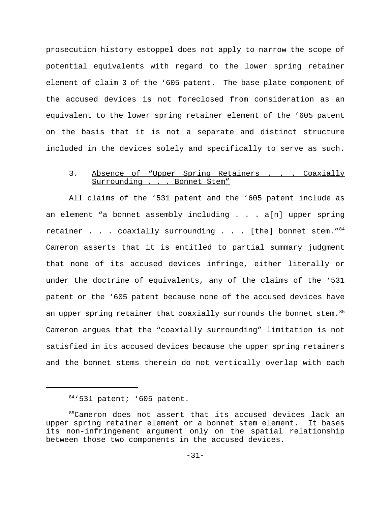prosecution history estoppel does not apply to narrow the scope of potential equivalents with regard to the lower spring retainer element of claim 3 of the '605 patent. The base plate component of the accused devices is not foreclosed from consideration as an equivalent to the lower spring retainer element of the '605 patent on the basis that it is not a separate and distinct structure included in the devices solely and specifically to serve as such.

## 3. Absence of "Upper Spring Retainers . . . Coaxially<br>Surrounding . . . Bonnet Stem" Surrounding . .

All claims of the '531 patent and the '605 patent include as an element "a bonnet assembly including . . . a[n] upper spring retainer . . . coaxially surrounding . . . [the] bonnet stem." $84$ Cameron asserts that it is entitled to partial summary judgment that none of its accused devices infringe, either literally or under the doctrine of equivalents, any of the claims of the '531 patent or the '605 patent because none of the accused devices have an upper spring retainer that coaxially surrounds the bonnet stem.<sup>85</sup> Cameron argues that the "coaxially surrounding" limitation is not satisfied in its accused devices because the upper spring retainers and the bonnet stems therein do not vertically overlap with each

<sup>84&#</sup>x27;531 patent; '605 patent.

<sup>85</sup>Cameron does not assert that its accused devices lack an upper spring retainer element or a bonnet stem element. It bases its non-infringement argument only on the spatial relationship between those two components in the accused devices.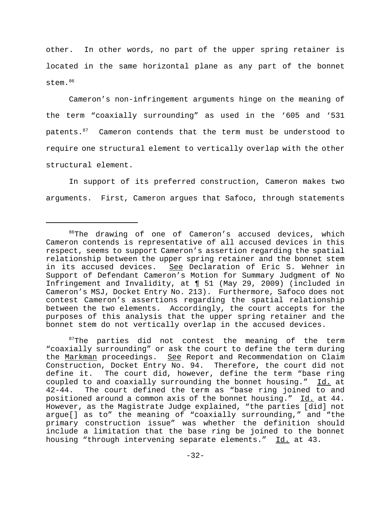other. In other words, no part of the upper spring retainer is located in the same horizontal plane as any part of the bonnet stem.<sup>86</sup>

Cameron's non-infringement arguments hinge on the meaning of the term "coaxially surrounding" as used in the '605 and '531 patents.<sup>87</sup> Cameron contends that the term must be understood to require one structural element to vertically overlap with the other structural element.

In support of its preferred construction, Cameron makes two arguments. First, Cameron argues that Safoco, through statements

 $87$ The parties did not contest the meaning of the term "coaxially surrounding" or ask the court to define the term during the Markman proceedings. See Report and Recommendation on Claim Construction, Docket Entry No. 94. Therefore, the court did not define it. The court did, however, define the term "base ring coupled to and coaxially surrounding the bonnet housing." Id. at 42-44. The court defined the term as "base ring joined to and positioned around a common axis of the bonnet housing." Id. at 44. However, as the Magistrate Judge explained, "the parties [did] not argue[] as to" the meaning of "coaxially surrounding," and "the primary construction issue" was whether the definition should include a limitation that the base ring be joined to the bonnet housing "through intervening separate elements." Id. at 43.

<sup>&</sup>lt;sup>86</sup>The drawing of one of Cameron's accused devices, which Cameron contends is representative of all accused devices in this respect, seems to support Cameron's assertion regarding the spatial relationship between the upper spring retainer and the bonnet stem in its accused devices. See Declaration of Eric S. Wehner in Support of Defendant Cameron's Motion for Summary Judgment of No Infringement and Invalidity, at ¶ 51 (May 29, 2009) (included in Cameron's MSJ, Docket Entry No. 213). Furthermore, Safoco does not contest Cameron's assertions regarding the spatial relationship between the two elements. Accordingly, the court accepts for the purposes of this analysis that the upper spring retainer and the bonnet stem do not vertically overlap in the accused devices.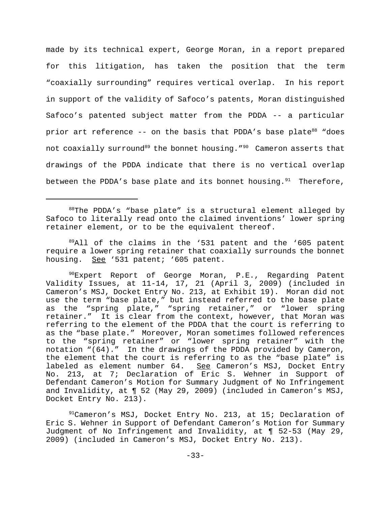made by its technical expert, George Moran, in a report prepared for this litigation, has taken the position that the term "coaxially surrounding" requires vertical overlap. In his report in support of the validity of Safoco's patents, Moran distinguished Safoco's patented subject matter from the PDDA -- a particular prior art reference  $-$ - on the basis that PDDA's base plate $88$  "does not coaxially surround<sup>89</sup> the bonnet housing."<sup>90</sup> Cameron asserts that drawings of the PDDA indicate that there is no vertical overlap between the PDDA's base plate and its bonnet housing. $91$  Therefore,

<sup>88</sup>The PDDA's "base plate" is a structural element alleged by Safoco to literally read onto the claimed inventions' lower spring retainer element, or to be the equivalent thereof.

 $89$ All of the claims in the '531 patent and the '605 patent require a lower spring retainer that coaxially surrounds the bonnet housing. See '531 patent; '605 patent.

%Expert Report of George Moran, P.E., Regarding Patent Validity Issues, at 11-14, 17, 21 (April 3, 2009) (included in Cameron's MSJ, Docket Entry No. 213, at Exhibit 19). Moran did not use the term "base plate," but instead referred to the base plate as the "spring plate," "spring retainer," or "lower spring retainer." It is clear from the context, however, that Moran was referring to the element of the PDDA that the court is referring to as the "base plate." Moreover, Moran sometimes followed references to the "spring retainer" or "lower spring retainer" with the notation "(64)." In the drawings of the PDDA provided by Cameron, the element that the court is referring to as the "base plate" is labeled as element number 64. See Cameron's MSJ, Docket Entry No. 213, at 7; Declaration of Eric S. Wehner in Support of Defendant Cameron's Motion for Summary Judgment of No Infringement and Invalidity, at ¶ 52 (May 29, 2009) (included in Cameron's MSJ, Docket Entry No. 213).

 $91$ Cameron's MSJ, Docket Entry No. 213, at 15; Declaration of Eric S. Wehner in Support of Defendant Cameron's Motion for Summary Judgment of No Infringement and Invalidity, at ¶ 52-53 (May 29, 2009) (included in Cameron's MSJ, Docket Entry No. 213).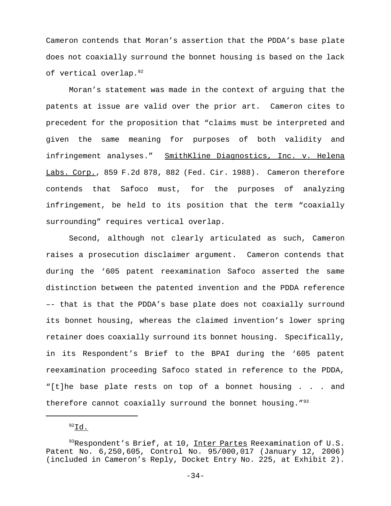Cameron contends that Moran's assertion that the PDDA's base plate does not coaxially surround the bonnet housing is based on the lack of vertical overlap.<sup>92</sup>

Moran's statement was made in the context of arguing that the patents at issue are valid over the prior art. Cameron cites to precedent for the proposition that "claims must be interpreted and given the same meaning for purposes of both validity and infringement analyses." SmithKline Diagnostics, Inc. v. Helena Labs. Corp., 859 F.2d 878, 882 (Fed. Cir. 1988). Cameron therefore contends that Safoco must, for the purposes of analyzing infringement, be held to its position that the term "coaxially surrounding" requires vertical overlap.

Second, although not clearly articulated as such, Cameron raises a prosecution disclaimer argument. Cameron contends that during the '605 patent reexamination Safoco asserted the same distinction between the patented invention and the PDDA reference –- that is that the PDDA's base plate does not coaxially surround its bonnet housing, whereas the claimed invention's lower spring retainer does coaxially surround its bonnet housing. Specifically, in its Respondent's Brief to the BPAI during the '605 patent reexamination proceeding Safoco stated in reference to the PDDA, "[t]he base plate rests on top of a bonnet housing . . . and therefore cannot coaxially surround the bonnet housing." $93$ 

 $92$ Id.

 $93$ Respondent's Brief, at 10, Inter Partes Reexamination of U.S. Patent No. 6,250,605, Control No. 95/000,017 (January 12, 2006) (included in Cameron's Reply, Docket Entry No. 225, at Exhibit 2).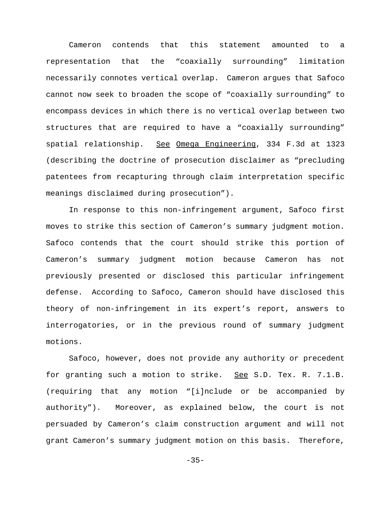Cameron contends that this statement amounted to a representation that the "coaxially surrounding" limitation necessarily connotes vertical overlap. Cameron argues that Safoco cannot now seek to broaden the scope of "coaxially surrounding" to encompass devices in which there is no vertical overlap between two structures that are required to have a "coaxially surrounding" spatial relationship. See Omega Engineering, 334 F.3d at 1323 (describing the doctrine of prosecution disclaimer as "precluding patentees from recapturing through claim interpretation specific meanings disclaimed during prosecution").

In response to this non-infringement argument, Safoco first moves to strike this section of Cameron's summary judgment motion. Safoco contends that the court should strike this portion of Cameron's summary judgment motion because Cameron has not previously presented or disclosed this particular infringement defense. According to Safoco, Cameron should have disclosed this theory of non-infringement in its expert's report, answers to interrogatories, or in the previous round of summary judgment motions.

Safoco, however, does not provide any authority or precedent for granting such a motion to strike. See S.D. Tex. R. 7.1.B. (requiring that any motion "[i]nclude or be accompanied by authority"). Moreover, as explained below, the court is not persuaded by Cameron's claim construction argument and will not grant Cameron's summary judgment motion on this basis. Therefore,

 $-35-$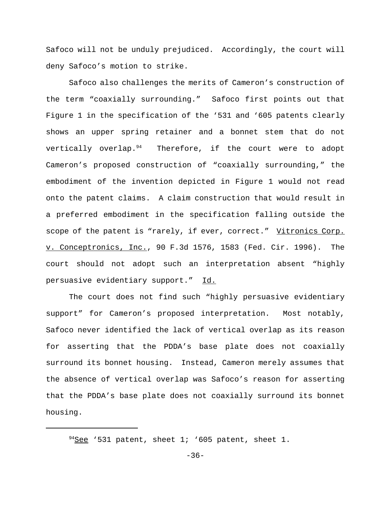Safoco will not be unduly prejudiced. Accordingly, the court will deny Safoco's motion to strike.

Safoco also challenges the merits of Cameron's construction of the term "coaxially surrounding." Safoco first points out that Figure 1 in the specification of the '531 and '605 patents clearly shows an upper spring retainer and a bonnet stem that do not vertically overlap.<sup>94</sup> Therefore, if the court were to adopt Cameron's proposed construction of "coaxially surrounding," the embodiment of the invention depicted in Figure 1 would not read onto the patent claims. A claim construction that would result in a preferred embodiment in the specification falling outside the scope of the patent is "rarely, if ever, correct." Vitronics Corp. v. Conceptronics, Inc., 90 F.3d 1576, 1583 (Fed. Cir. 1996). The court should not adopt such an interpretation absent "highly persuasive evidentiary support." Id.

The court does not find such "highly persuasive evidentiary support" for Cameron's proposed interpretation. Most notably, Safoco never identified the lack of vertical overlap as its reason for asserting that the PDDA's base plate does not coaxially surround its bonnet housing. Instead, Cameron merely assumes that the absence of vertical overlap was Safoco's reason for asserting that the PDDA's base plate does not coaxially surround its bonnet housing.

 $94$ See '531 patent, sheet 1; '605 patent, sheet 1.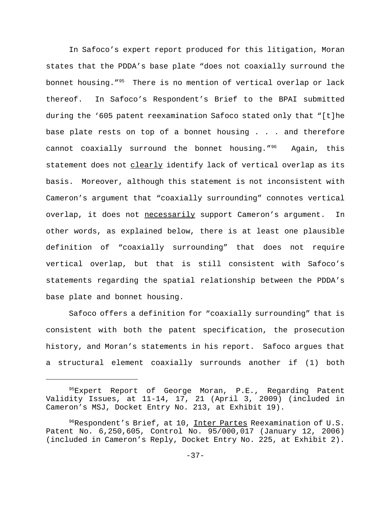In Safoco's expert report produced for this litigation, Moran states that the PDDA's base plate "does not coaxially surround the bonnet housing."95 There is no mention of vertical overlap or lack thereof. In Safoco's Respondent's Brief to the BPAI submitted during the '605 patent reexamination Safoco stated only that "[t]he base plate rests on top of a bonnet housing . . . and therefore cannot coaxially surround the bonnet housing."96 Again, this statement does not clearly identify lack of vertical overlap as its basis. Moreover, although this statement is not inconsistent with Cameron's argument that "coaxially surrounding" connotes vertical overlap, it does not necessarily support Cameron's argument. In other words, as explained below, there is at least one plausible definition of "coaxially surrounding" that does not require vertical overlap, but that is still consistent with Safoco's statements regarding the spatial relationship between the PDDA's base plate and bonnet housing.

Safoco offers a definition for "coaxially surrounding" that is consistent with both the patent specification, the prosecution history, and Moran's statements in his report. Safoco argues that a structural element coaxially surrounds another if (1) both

<sup>&</sup>lt;sup>95</sup>Expert Report of George Moran, P.E., Regarding Patent Validity Issues, at 11-14, 17, 21 (April 3, 2009) (included in Cameron's MSJ, Docket Entry No. 213, at Exhibit 19).

<sup>&</sup>lt;sup>96</sup>Respondent's Brief, at 10, Inter Partes Reexamination of U.S. Patent No. 6,250,605, Control No. 95/000,017 (January 12, 2006) (included in Cameron's Reply, Docket Entry No. 225, at Exhibit 2).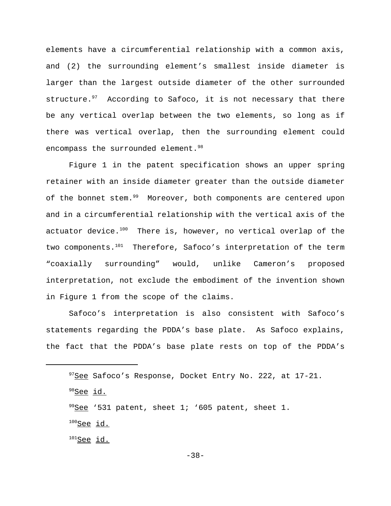elements have a circumferential relationship with a common axis, and (2) the surrounding element's smallest inside diameter is larger than the largest outside diameter of the other surrounded structure. $97$  According to Safoco, it is not necessary that there be any vertical overlap between the two elements, so long as if there was vertical overlap, then the surrounding element could encompass the surrounded element.<sup>98</sup>

Figure 1 in the patent specification shows an upper spring retainer with an inside diameter greater than the outside diameter of the bonnet stem.<sup>99</sup> Moreover, both components are centered upon and in a circumferential relationship with the vertical axis of the actuator device. $100$  There is, however, no vertical overlap of the two components.<sup>101</sup> Therefore, Safoco's interpretation of the term "coaxially surrounding" would, unlike Cameron's proposed interpretation, not exclude the embodiment of the invention shown in Figure 1 from the scope of the claims.

Safoco's interpretation is also consistent with Safoco's statements regarding the PDDA's base plate. As Safoco explains, the fact that the PDDA's base plate rests on top of the PDDA's

- $100$ See id.
- $101$ See id.

<sup>&</sup>lt;sup>97</sup>See Safoco's Response, Docket Entry No. 222, at 17-21.

<sup>&</sup>lt;sup>98</sup>See id.

 $99$ See '531 patent, sheet 1; '605 patent, sheet 1.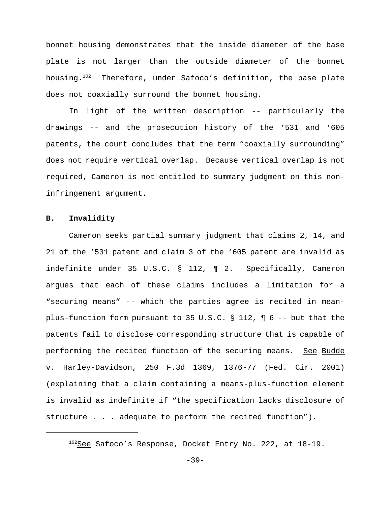bonnet housing demonstrates that the inside diameter of the base plate is not larger than the outside diameter of the bonnet housing.<sup>102</sup> Therefore, under Safoco's definition, the base plate does not coaxially surround the bonnet housing.

In light of the written description -- particularly the drawings -- and the prosecution history of the '531 and '605 patents, the court concludes that the term "coaxially surrounding" does not require vertical overlap. Because vertical overlap is not required, Cameron is not entitled to summary judgment on this noninfringement argument.

# **B. Invalidity**

Cameron seeks partial summary judgment that claims 2, 14, and 21 of the '531 patent and claim 3 of the '605 patent are invalid as indefinite under 35 U.S.C. § 112, ¶ 2. Specifically, Cameron argues that each of these claims includes a limitation for a "securing means" -- which the parties agree is recited in meanplus-function form pursuant to 35 U.S.C. § 112, ¶ 6 -- but that the patents fail to disclose corresponding structure that is capable of performing the recited function of the securing means. See Budde v. Harley-Davidson, 250 F.3d 1369, 1376-77 (Fed. Cir. 2001) (explaining that a claim containing a means-plus-function element is invalid as indefinite if "the specification lacks disclosure of structure . . . adequate to perform the recited function").

 $102$ See Safoco's Response, Docket Entry No. 222, at 18-19.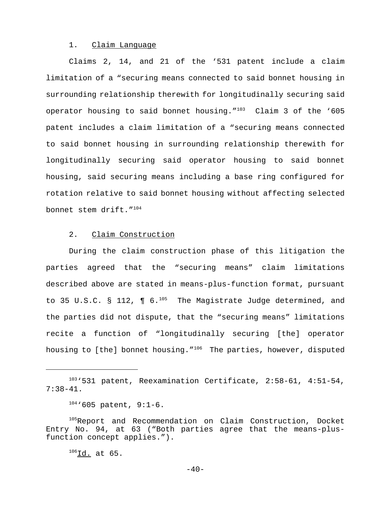### 1. Claim Language

Claims 2, 14, and 21 of the '531 patent include a claim limitation of a "securing means connected to said bonnet housing in surrounding relationship therewith for longitudinally securing said operator housing to said bonnet housing. $103$  Claim 3 of the '605 patent includes a claim limitation of a "securing means connected to said bonnet housing in surrounding relationship therewith for longitudinally securing said operator housing to said bonnet housing, said securing means including a base ring configured for rotation relative to said bonnet housing without affecting selected bonnet stem drift."104

#### 2. Claim Construction

During the claim construction phase of this litigation the parties agreed that the "securing means" claim limitations described above are stated in means-plus-function format, pursuant to 35 U.S.C. § 112,  $\P$  6.<sup>105</sup> The Magistrate Judge determined, and the parties did not dispute, that the "securing means" limitations recite a function of "longitudinally securing [the] operator housing to [the] bonnet housing. "<sup>106</sup> The parties, however, disputed

 $^{106}$ Id. at 65.

<sup>103&#</sup>x27;531 patent, Reexamination Certificate, 2:58-61, 4:51-54, 7:38-41.

 $104 \cdot 605$  patent, 9:1-6.

<sup>105</sup>Report and Recommendation on Claim Construction, Docket Entry No. 94, at 63 ("Both parties agree that the means-plusfunction concept applies.").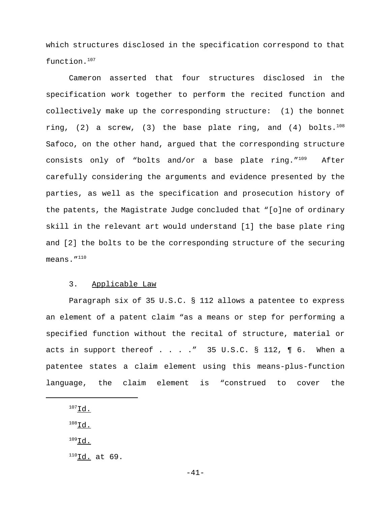which structures disclosed in the specification correspond to that function.107

Cameron asserted that four structures disclosed in the specification work together to perform the recited function and collectively make up the corresponding structure: (1) the bonnet ring, (2) a screw, (3) the base plate ring, and (4) bolts. $108$ Safoco, on the other hand, argued that the corresponding structure consists only of "bolts and/or a base plate ring. $109$  After carefully considering the arguments and evidence presented by the parties, as well as the specification and prosecution history of the patents, the Magistrate Judge concluded that "[o]ne of ordinary skill in the relevant art would understand [1] the base plate ring and [2] the bolts to be the corresponding structure of the securing means. $^{\prime\prime}$ <sup>110</sup>

# 3. Applicable Law

Paragraph six of 35 U.S.C. § 112 allows a patentee to express an element of a patent claim "as a means or step for performing a specified function without the recital of structure, material or acts in support thereof  $\ldots$  . . . " 35 U.S.C. § 112,  $\P$  6. When a patentee states a claim element using this means-plus-function language, the claim element is "construed to cover the

 $^{107}$ Id.  $^{108}$ Id.

- $109$ Id.
- $^{110}$ Id. at 69.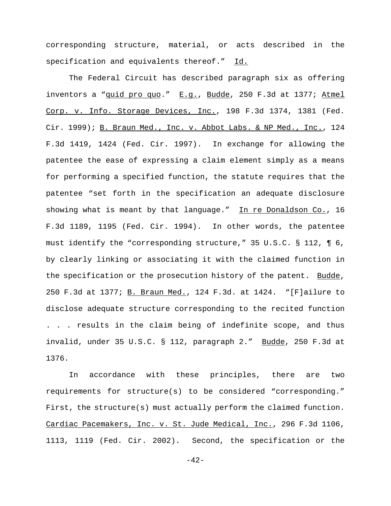corresponding structure, material, or acts described in the specification and equivalents thereof." Id.

The Federal Circuit has described paragraph six as offering inventors a "quid pro quo." E.g., Budde, 250 F.3d at 1377; Atmel Corp. v. Info. Storage Devices, Inc., 198 F.3d 1374, 1381 (Fed. Cir. 1999); B. Braun Med., Inc. v. Abbot Labs. & NP Med., Inc., 124 F.3d 1419, 1424 (Fed. Cir. 1997). In exchange for allowing the patentee the ease of expressing a claim element simply as a means for performing a specified function, the statute requires that the patentee "set forth in the specification an adequate disclosure showing what is meant by that language." In re Donaldson Co., 16 F.3d 1189, 1195 (Fed. Cir. 1994). In other words, the patentee must identify the "corresponding structure," 35 U.S.C. § 112, ¶ 6, by clearly linking or associating it with the claimed function in the specification or the prosecution history of the patent. Budde, 250 F.3d at 1377; B. Braun Med., 124 F.3d. at 1424. "[F]ailure to disclose adequate structure corresponding to the recited function . . . results in the claim being of indefinite scope, and thus invalid, under 35 U.S.C. § 112, paragraph 2." Budde, 250 F.3d at 1376.

In accordance with these principles, there are two requirements for structure(s) to be considered "corresponding." First, the structure(s) must actually perform the claimed function. Cardiac Pacemakers, Inc. v. St. Jude Medical, Inc., 296 F.3d 1106, 1113, 1119 (Fed. Cir. 2002). Second, the specification or the

-42-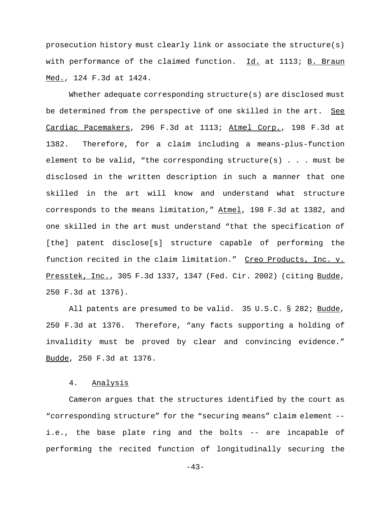prosecution history must clearly link or associate the structure(s) with performance of the claimed function. Id. at 1113; B. Braun Med., 124 F.3d at 1424.

Whether adequate corresponding structure(s) are disclosed must be determined from the perspective of one skilled in the art. See Cardiac Pacemakers, 296 F.3d at 1113; Atmel Corp., 198 F.3d at 1382. Therefore, for a claim including a means-plus-function element to be valid, "the corresponding structure(s) . . . must be disclosed in the written description in such a manner that one skilled in the art will know and understand what structure corresponds to the means limitation," Atmel, 198 F.3d at 1382, and one skilled in the art must understand "that the specification of [the] patent disclose[s] structure capable of performing the function recited in the claim limitation." Creo Products, Inc. v. Presstek, Inc., 305 F.3d 1337, 1347 (Fed. Cir. 2002) (citing Budde, 250 F.3d at 1376).

All patents are presumed to be valid. 35 U.S.C. § 282; Budde, 250 F.3d at 1376. Therefore, "any facts supporting a holding of invalidity must be proved by clear and convincing evidence." Budde, 250 F.3d at 1376.

## 4. Analysis

Cameron argues that the structures identified by the court as "corresponding structure" for the "securing means" claim element - i.e., the base plate ring and the bolts -- are incapable of performing the recited function of longitudinally securing the

-43-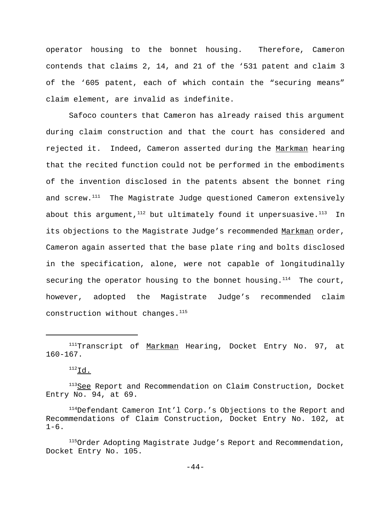operator housing to the bonnet housing. Therefore, Cameron contends that claims 2, 14, and 21 of the '531 patent and claim 3 of the '605 patent, each of which contain the "securing means" claim element, are invalid as indefinite.

Safoco counters that Cameron has already raised this argument during claim construction and that the court has considered and rejected it. Indeed, Cameron asserted during the Markman hearing that the recited function could not be performed in the embodiments of the invention disclosed in the patents absent the bonnet ring and screw.<sup>111</sup> The Magistrate Judge questioned Cameron extensively about this argument,  $112$  but ultimately found it unpersuasive.  $113$  In its objections to the Magistrate Judge's recommended Markman order, Cameron again asserted that the base plate ring and bolts disclosed in the specification, alone, were not capable of longitudinally securing the operator housing to the bonnet housing. $114$  The court, however, adopted the Magistrate Judge's recommended claim construction without changes.<sup>115</sup>

<sup>&</sup>lt;sup>111</sup>Transcript of Markman Hearing, Docket Entry No. 97, at 160-167.

 $^{112}$ Id.

<sup>&</sup>lt;sup>113</sup>See Report and Recommendation on Claim Construction, Docket Entry No. 94, at 69.

<sup>&</sup>lt;sup>114</sup>Defendant Cameron Int'l Corp.'s Objections to the Report and Recommendations of Claim Construction, Docket Entry No. 102, at  $1-6$ .

<sup>&</sup>lt;sup>115</sup>Order Adopting Magistrate Judge's Report and Recommendation, Docket Entry No. 105.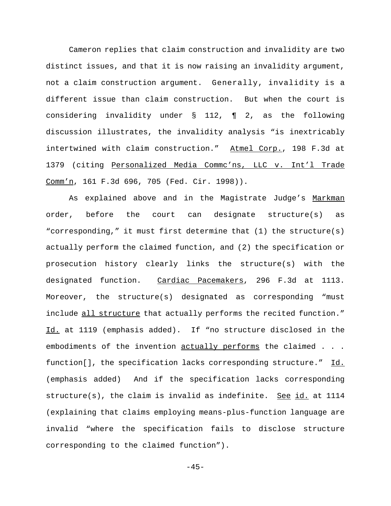Cameron replies that claim construction and invalidity are two distinct issues, and that it is now raising an invalidity argument, not a claim construction argument. Generally, invalidity is a different issue than claim construction. But when the court is considering invalidity under § 112, ¶ 2, as the following discussion illustrates, the invalidity analysis "is inextricably intertwined with claim construction." Atmel Corp., 198 F.3d at 1379 (citing Personalized Media Commc'ns, LLC v. Int'l Trade Comm'n, 161 F.3d 696, 705 (Fed. Cir. 1998)).

As explained above and in the Magistrate Judge's Markman order, before the court can designate structure(s) as "corresponding," it must first determine that (1) the structure(s) actually perform the claimed function, and (2) the specification or prosecution history clearly links the structure(s) with the designated function. Cardiac Pacemakers, 296 F.3d at 1113. Moreover, the structure(s) designated as corresponding "must include all structure that actually performs the recited function." Id. at 1119 (emphasis added). If "no structure disclosed in the embodiments of the invention actually performs the claimed . . . function[], the specification lacks corresponding structure." Id. (emphasis added) And if the specification lacks corresponding structure(s), the claim is invalid as indefinite. See id. at  $1114$ (explaining that claims employing means-plus-function language are invalid "where the specification fails to disclose structure corresponding to the claimed function").

 $-45-$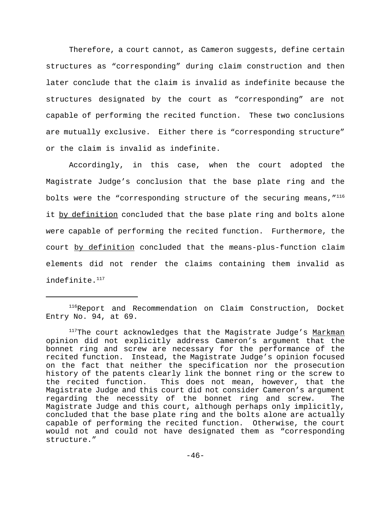Therefore, a court cannot, as Cameron suggests, define certain structures as "corresponding" during claim construction and then later conclude that the claim is invalid as indefinite because the structures designated by the court as "corresponding" are not capable of performing the recited function. These two conclusions are mutually exclusive. Either there is "corresponding structure" or the claim is invalid as indefinite.

Accordingly, in this case, when the court adopted the Magistrate Judge's conclusion that the base plate ring and the bolts were the "corresponding structure of the securing means,  $^{\prime\prime}$ <sup>116</sup> it by definition concluded that the base plate ring and bolts alone were capable of performing the recited function. Furthermore, the court by definition concluded that the means-plus-function claim elements did not render the claims containing them invalid as indefinite.<sup>117</sup>

<sup>&</sup>lt;sup>116</sup>Report and Recommendation on Claim Construction, Docket Entry No. 94, at 69.

<sup>&</sup>lt;sup>117</sup>The court acknowledges that the Magistrate Judge's Markman opinion did not explicitly address Cameron's argument that the bonnet ring and screw are necessary for the performance of the recited function. Instead, the Magistrate Judge's opinion focused on the fact that neither the specification nor the prosecution history of the patents clearly link the bonnet ring or the screw to the recited function. This does not mean, however, that the Magistrate Judge and this court did not consider Cameron's argument regarding the necessity of the bonnet ring and screw. The Magistrate Judge and this court, although perhaps only implicitly, concluded that the base plate ring and the bolts alone are actually capable of performing the recited function. Otherwise, the court would not and could not have designated them as "corresponding structure."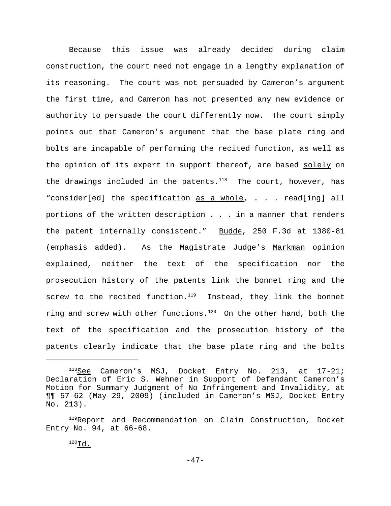Because this issue was already decided during claim construction, the court need not engage in a lengthy explanation of its reasoning. The court was not persuaded by Cameron's argument the first time, and Cameron has not presented any new evidence or authority to persuade the court differently now. The court simply points out that Cameron's argument that the base plate ring and bolts are incapable of performing the recited function, as well as the opinion of its expert in support thereof, are based solely on the drawings included in the patents. $118$  The court, however, has "consider[ed] the specification as a whole, . . . read[ing] all portions of the written description . . . in a manner that renders the patent internally consistent." Budde, 250 F.3d at 1380-81 (emphasis added). As the Magistrate Judge's Markman opinion explained, neither the text of the specification nor the prosecution history of the patents link the bonnet ring and the screw to the recited function. $119$  Instead, they link the bonnet ring and screw with other functions. $120$  On the other hand, both the text of the specification and the prosecution history of the patents clearly indicate that the base plate ring and the bolts

<sup>&</sup>lt;sup>118</sup>See Cameron's MSJ, Docket Entry No. 213, at 17-21; Declaration of Eric S. Wehner in Support of Defendant Cameron's Motion for Summary Judgment of No Infringement and Invalidity, at ¶¶ 57-62 (May 29, 2009) (included in Cameron's MSJ, Docket Entry No. 213).

<sup>&</sup>lt;sup>119</sup>Report and Recommendation on Claim Construction, Docket Entry No. 94, at 66-68.

 $^{120}$ Id.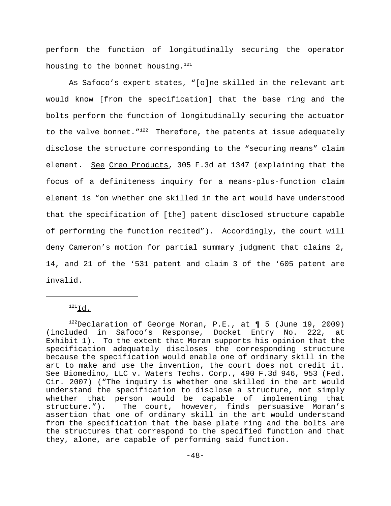perform the function of longitudinally securing the operator housing to the bonnet housing.<sup>121</sup>

As Safoco's expert states, "[o]ne skilled in the relevant art would know [from the specification] that the base ring and the bolts perform the function of longitudinally securing the actuator to the valve bonnet.  $T^{122}$  Therefore, the patents at issue adequately disclose the structure corresponding to the "securing means" claim element. See Creo Products, 305 F.3d at 1347 (explaining that the focus of a definiteness inquiry for a means-plus-function claim element is "on whether one skilled in the art would have understood that the specification of [the] patent disclosed structure capable of performing the function recited"). Accordingly, the court will deny Cameron's motion for partial summary judgment that claims 2, 14, and 21 of the '531 patent and claim 3 of the '605 patent are invalid.

 $^{121}$ Id.

 $122$ Declaration of George Moran, P.E., at ¶ 5 (June 19, 2009) (included in Safoco's Response, Docket Entry No. 222, at Exhibit 1). To the extent that Moran supports his opinion that the specification adequately discloses the corresponding structure because the specification would enable one of ordinary skill in the art to make and use the invention, the court does not credit it. See Biomedino, LLC v. Waters Techs. Corp., 490 F.3d 946, 953 (Fed. Cir. 2007) ("The inquiry is whether one skilled in the art would understand the specification to disclose a structure, not simply whether that person would be capable of implementing that structure."). The court, however, finds persuasive Moran's assertion that one of ordinary skill in the art would understand from the specification that the base plate ring and the bolts are the structures that correspond to the specified function and that they, alone, are capable of performing said function.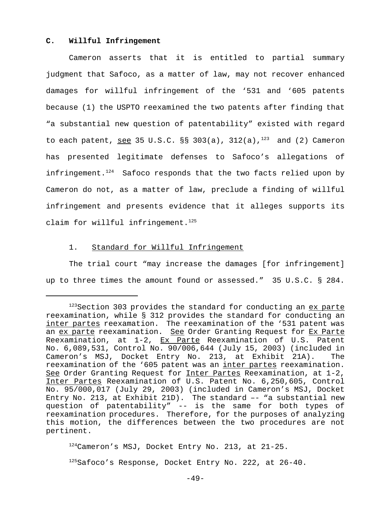#### **C. Willful Infringement**

Cameron asserts that it is entitled to partial summary judgment that Safoco, as a matter of law, may not recover enhanced damages for willful infringement of the '531 and '605 patents because (1) the USPTO reexamined the two patents after finding that "a substantial new question of patentability" existed with regard to each patent, see 35 U.S.C.  $\S$ § 303(a), 312(a),<sup>123</sup> and (2) Cameron has presented legitimate defenses to Safoco's allegations of infringement. $124$  Safoco responds that the two facts relied upon by Cameron do not, as a matter of law, preclude a finding of willful infringement and presents evidence that it alleges supports its claim for willful infringement. $125$ 

#### 1. Standard for Willful Infringement

The trial court "may increase the damages [for infringement] up to three times the amount found or assessed." 35 U.S.C. § 284.

124 Cameron's MSJ, Docket Entry No. 213, at 21-25.

 $125$ Safoco's Response, Docket Entry No. 222, at 26-40.

 $123$ Section 303 provides the standard for conducting an  $ex$  parte reexamination, while § 312 provides the standard for conducting an inter partes reexamation. The reexamination of the '531 patent was an ex parte reexamination. See Order Granting Request for Ex Parte Reexamination, at  $1-2$ ,  $EX$  Parte Reexamination of U.S. Patent No. 6,089,531, Control No. 90/006,644 (July 15, 2003) (included in Cameron's MSJ, Docket Entry No. 213, at Exhibit 21A). The reexamination of the '605 patent was an inter partes reexamination. See Order Granting Request for Inter Partes Reexamination, at 1-2, Inter Partes Reexamination of U.S. Patent No. 6,250,605, Control No. 95/000,017 (July 29, 2003) (included in Cameron's MSJ, Docket Entry No. 213, at Exhibit 21D). The standard –- "a substantial new question of patentability" -- is the same for both types of reexamination procedures. Therefore, for the purposes of analyzing this motion, the differences between the two procedures are not pertinent.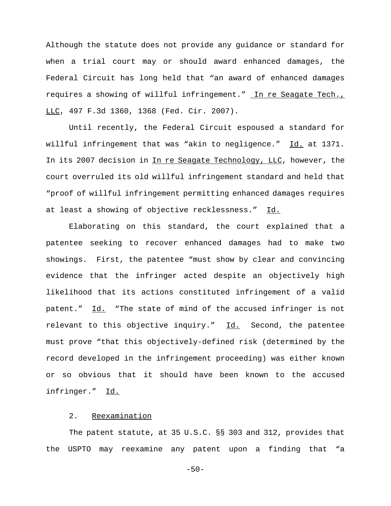Although the statute does not provide any guidance or standard for when a trial court may or should award enhanced damages, the Federal Circuit has long held that "an award of enhanced damages requires a showing of willful infringement." In re Seagate Tech., LLC, 497 F.3d 1360, 1368 (Fed. Cir. 2007).

Until recently, the Federal Circuit espoused a standard for willful infringement that was "akin to negligence." Id. at 1371. In its 2007 decision in In re Seagate Technology, LLC, however, the court overruled its old willful infringement standard and held that "proof of willful infringement permitting enhanced damages requires at least a showing of objective recklessness." Id.

Elaborating on this standard, the court explained that a patentee seeking to recover enhanced damages had to make two showings. First, the patentee "must show by clear and convincing evidence that the infringer acted despite an objectively high likelihood that its actions constituted infringement of a valid patent." Id. "The state of mind of the accused infringer is not relevant to this objective inquiry."  $\underline{Id.}$  Second, the patentee must prove "that this objectively-defined risk (determined by the record developed in the infringement proceeding) was either known or so obvious that it should have been known to the accused infringer." Id.

#### 2. Reexamination

The patent statute, at 35 U.S.C. §§ 303 and 312, provides that the USPTO may reexamine any patent upon a finding that "a

 $-50-$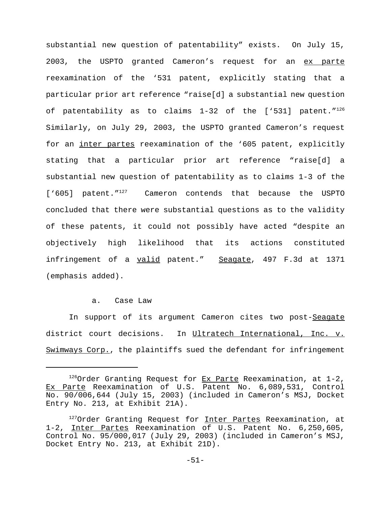substantial new question of patentability" exists. On July 15, 2003, the USPTO granted Cameron's request for an ex parte reexamination of the '531 patent, explicitly stating that a particular prior art reference "raise[d] a substantial new question of patentability as to claims  $1-32$  of the ['531] patent." $126$ Similarly, on July 29, 2003, the USPTO granted Cameron's request for an inter partes reexamination of the '605 patent, explicitly stating that a particular prior art reference "raise[d] a substantial new question of patentability as to claims 1-3 of the ['605] patent."<sup>127</sup> Cameron contends that because the USPTO concluded that there were substantial questions as to the validity of these patents, it could not possibly have acted "despite an objectively high likelihood that its actions constituted infringement of a valid patent." Seagate, 497 F.3d at 1371 (emphasis added).

#### a. Case Law

In support of its argument Cameron cites two post-Seagate district court decisions. In Ultratech International, Inc. v. Swimways Corp., the plaintiffs sued the defendant for infringement

 $126$ Order Granting Request for Ex Parte Reexamination, at 1-2, Ex Parte Reexamination of U.S. Patent No. 6,089,531, Control No. 90/006,644 (July 15, 2003) (included in Cameron's MSJ, Docket Entry No. 213, at Exhibit 21A).

<sup>&</sup>lt;sup>127</sup>Order Granting Request for Inter Partes Reexamination, at 1-2, Inter Partes Reexamination of U.S. Patent No. 6,250,605, Control No. 95/000,017 (July 29, 2003) (included in Cameron's MSJ, Docket Entry No. 213, at Exhibit 21D).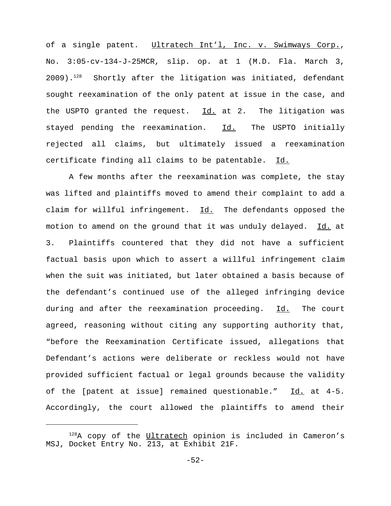of a single patent. Ultratech Int'l, Inc. v. Swimways Corp., No. 3:05-cv-134-J-25MCR, slip. op. at 1 (M.D. Fla. March 3,  $2009)$ .<sup>128</sup> Shortly after the litigation was initiated, defendant sought reexamination of the only patent at issue in the case, and the USPTO granted the request.  $\underline{Id.}$  at 2. The litigation was stayed pending the reexamination. Id. The USPTO initially rejected all claims, but ultimately issued a reexamination certificate finding all claims to be patentable. Id.

A few months after the reexamination was complete, the stay was lifted and plaintiffs moved to amend their complaint to add a claim for willful infringement.  $Id.$  The defendants opposed the motion to amend on the ground that it was unduly delayed. Id. at 3. Plaintiffs countered that they did not have a sufficient factual basis upon which to assert a willful infringement claim when the suit was initiated, but later obtained a basis because of the defendant's continued use of the alleged infringing device during and after the reexamination proceeding. Id. The court agreed, reasoning without citing any supporting authority that, "before the Reexamination Certificate issued, allegations that Defendant's actions were deliberate or reckless would not have provided sufficient factual or legal grounds because the validity of the [patent at issue] remained questionable." Id. at 4-5. Accordingly, the court allowed the plaintiffs to amend their

 $128A$  copy of the Ultratech opinion is included in Cameron's MSJ, Docket Entry No. 213, at Exhibit 21F.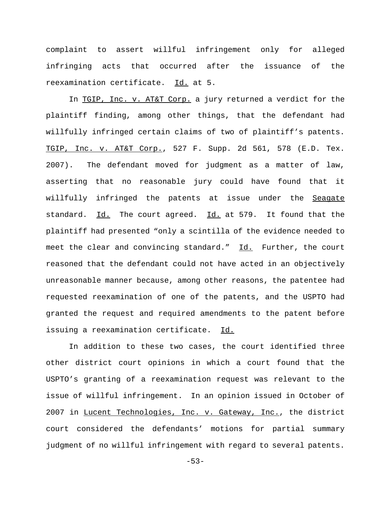complaint to assert willful infringement only for alleged infringing acts that occurred after the issuance of the reexamination certificate. Id. at 5.

In TGIP, Inc. v. AT&T Corp. a jury returned a verdict for the plaintiff finding, among other things, that the defendant had willfully infringed certain claims of two of plaintiff's patents. TGIP, Inc. v. AT&T Corp., 527 F. Supp. 2d 561, 578 (E.D. Tex. 2007). The defendant moved for judgment as a matter of law, asserting that no reasonable jury could have found that it willfully infringed the patents at issue under the Seagate standard. Id. The court agreed. Id. at 579. It found that the plaintiff had presented "only a scintilla of the evidence needed to meet the clear and convincing standard." Id. Further, the court reasoned that the defendant could not have acted in an objectively unreasonable manner because, among other reasons, the patentee had requested reexamination of one of the patents, and the USPTO had granted the request and required amendments to the patent before issuing a reexamination certificate. Id.

In addition to these two cases, the court identified three other district court opinions in which a court found that the USPTO's granting of a reexamination request was relevant to the issue of willful infringement. In an opinion issued in October of 2007 in Lucent Technologies, Inc. v. Gateway, Inc., the district court considered the defendants' motions for partial summary judgment of no willful infringement with regard to several patents.

-53-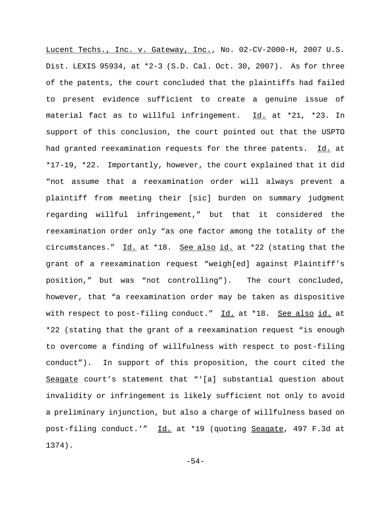Lucent Techs., Inc. v. Gateway, Inc., No. 02-CV-2000-H, 2007 U.S. Dist. LEXIS 95934, at \*2-3 (S.D. Cal. Oct. 30, 2007). As for three of the patents, the court concluded that the plaintiffs had failed to present evidence sufficient to create a genuine issue of material fact as to willful infringement. Id. at \*21, \*23. In support of this conclusion, the court pointed out that the USPTO had granted reexamination requests for the three patents. Id. at \*17-19, \*22. Importantly, however, the court explained that it did "not assume that a reexamination order will always prevent a plaintiff from meeting their [sic] burden on summary judgment regarding willful infringement," but that it considered the reexamination order only "as one factor among the totality of the circumstances." Id. at \*18. See also id. at \*22 (stating that the grant of a reexamination request "weigh[ed] against Plaintiff's position," but was "not controlling"). The court concluded, however, that "a reexamination order may be taken as dispositive with respect to post-filing conduct." Id. at \*18. See also id. at \*22 (stating that the grant of a reexamination request "is enough to overcome a finding of willfulness with respect to post-filing conduct"). In support of this proposition, the court cited the Seagate court's statement that "'[a] substantial question about invalidity or infringement is likely sufficient not only to avoid a preliminary injunction, but also a charge of willfulness based on post-filing conduct.'" Id. at \*19 (quoting Seagate, 497 F.3d at 1374).

-54-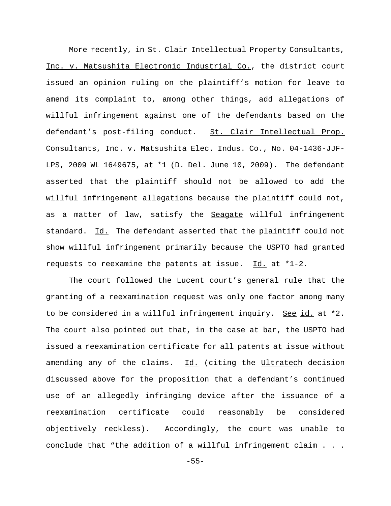More recently, in St. Clair Intellectual Property Consultants, Inc. v. Matsushita Electronic Industrial Co., the district court issued an opinion ruling on the plaintiff's motion for leave to amend its complaint to, among other things, add allegations of willful infringement against one of the defendants based on the defendant's post-filing conduct. St. Clair Intellectual Prop. Consultants, Inc. v. Matsushita Elec. Indus. Co., No. 04-1436-JJF-LPS, 2009 WL 1649675, at \*1 (D. Del. June 10, 2009). The defendant asserted that the plaintiff should not be allowed to add the willful infringement allegations because the plaintiff could not, as a matter of law, satisfy the Seagate willful infringement standard. Id. The defendant asserted that the plaintiff could not show willful infringement primarily because the USPTO had granted requests to reexamine the patents at issue. Id. at \*1-2.

The court followed the Lucent court's general rule that the granting of a reexamination request was only one factor among many to be considered in a willful infringement inquiry. See id. at \*2. The court also pointed out that, in the case at bar, the USPTO had issued a reexamination certificate for all patents at issue without amending any of the claims. Id. (citing the Ultratech decision discussed above for the proposition that a defendant's continued use of an allegedly infringing device after the issuance of a reexamination certificate could reasonably be considered objectively reckless). Accordingly, the court was unable to conclude that "the addition of a willful infringement claim . . .

-55-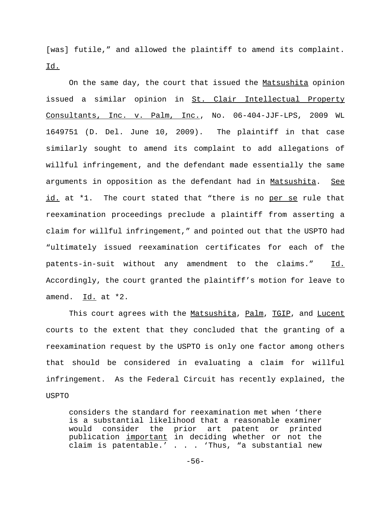[was] futile," and allowed the plaintiff to amend its complaint. Id.

On the same day, the court that issued the Matsushita opinion issued a similar opinion in St. Clair Intellectual Property Consultants, Inc. v. Palm, Inc., No. 06-404-JJF-LPS, 2009 WL 1649751 (D. Del. June 10, 2009). The plaintiff in that case similarly sought to amend its complaint to add allegations of willful infringement, and the defendant made essentially the same arguments in opposition as the defendant had in Matsushita. See id. at \*1. The court stated that "there is no per se rule that reexamination proceedings preclude a plaintiff from asserting a claim for willful infringement," and pointed out that the USPTO had "ultimately issued reexamination certificates for each of the patents-in-suit without any amendment to the claims." Id. Accordingly, the court granted the plaintiff's motion for leave to amend. Id. at \*2.

This court agrees with the Matsushita, Palm, TGIP, and Lucent courts to the extent that they concluded that the granting of a reexamination request by the USPTO is only one factor among others that should be considered in evaluating a claim for willful infringement. As the Federal Circuit has recently explained, the USPTO

considers the standard for reexamination met when 'there is a substantial likelihood that a reasonable examiner would consider the prior art patent or printed publication important in deciding whether or not the claim is patentable.' . . . 'Thus, "a substantial new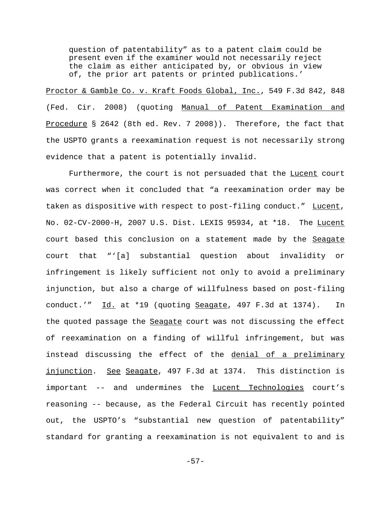question of patentability" as to a patent claim could be present even if the examiner would not necessarily reject the claim as either anticipated by, or obvious in view of, the prior art patents or printed publications.'

Proctor & Gamble Co. v. Kraft Foods Global, Inc., 549 F.3d 842, 848 (Fed. Cir. 2008) (quoting Manual of Patent Examination and Procedure § 2642 (8th ed. Rev. 7 2008)). Therefore, the fact that the USPTO grants a reexamination request is not necessarily strong evidence that a patent is potentially invalid.

Furthermore, the court is not persuaded that the Lucent court was correct when it concluded that "a reexamination order may be taken as dispositive with respect to post-filing conduct." Lucent, No. 02-CV-2000-H, 2007 U.S. Dist. LEXIS 95934, at \*18. The Lucent court based this conclusion on a statement made by the Seagate court that "'[a] substantial question about invalidity or infringement is likely sufficient not only to avoid a preliminary injunction, but also a charge of willfulness based on post-filing conduct.'" Id. at \*19 (quoting Seagate, 497 F.3d at 1374). In the quoted passage the Seagate court was not discussing the effect of reexamination on a finding of willful infringement, but was instead discussing the effect of the denial of a preliminary injunction. See Seagate, 497 F.3d at 1374. This distinction is important -- and undermines the Lucent Technologies court's reasoning -- because, as the Federal Circuit has recently pointed out, the USPTO's "substantial new question of patentability" standard for granting a reexamination is not equivalent to and is

-57-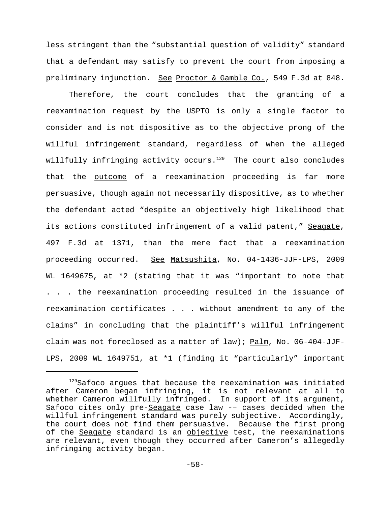less stringent than the "substantial question of validity" standard that a defendant may satisfy to prevent the court from imposing a preliminary injunction. See Proctor & Gamble Co., 549 F.3d at 848.

Therefore, the court concludes that the granting of a reexamination request by the USPTO is only a single factor to consider and is not dispositive as to the objective prong of the willful infringement standard, regardless of when the alleged willfully infringing activity occurs. $129$  The court also concludes that the outcome of a reexamination proceeding is far more persuasive, though again not necessarily dispositive, as to whether the defendant acted "despite an objectively high likelihood that its actions constituted infringement of a valid patent," Seagate, 497 F.3d at 1371, than the mere fact that a reexamination proceeding occurred. See Matsushita, No. 04-1436-JJF-LPS, 2009 WL 1649675, at \*2 (stating that it was "important to note that . . . the reexamination proceeding resulted in the issuance of reexamination certificates . . . without amendment to any of the claims" in concluding that the plaintiff's willful infringement claim was not foreclosed as a matter of law); Palm, No. 06-404-JJF-LPS, 2009 WL 1649751, at \*1 (finding it "particularly" important

<sup>&</sup>lt;sup>129</sup>Safoco argues that because the reexamination was initiated after Cameron began infringing, it is not relevant at all to whether Cameron willfully infringed. In support of its argument, Safoco cites only pre-Seagate case law -- cases decided when the willful infringement standard was purely subjective. Accordingly, the court does not find them persuasive. Because the first prong of the Seagate standard is an objective test, the reexaminations are relevant, even though they occurred after Cameron's allegedly infringing activity began.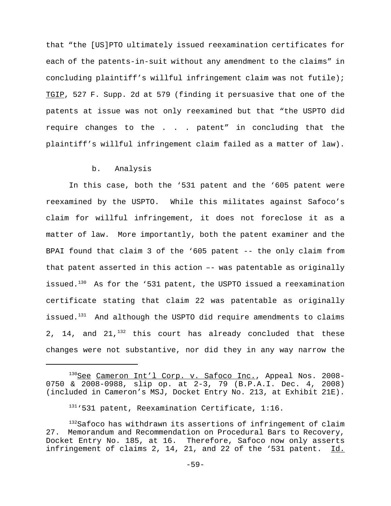that "the [US]PTO ultimately issued reexamination certificates for each of the patents-in-suit without any amendment to the claims" in concluding plaintiff's willful infringement claim was not futile); TGIP, 527 F. Supp. 2d at 579 (finding it persuasive that one of the patents at issue was not only reexamined but that "the USPTO did require changes to the . . . patent" in concluding that the plaintiff's willful infringement claim failed as a matter of law).

### b. Analysis

In this case, both the '531 patent and the '605 patent were reexamined by the USPTO. While this militates against Safoco's claim for willful infringement, it does not foreclose it as a matter of law. More importantly, both the patent examiner and the BPAI found that claim 3 of the '605 patent -- the only claim from that patent asserted in this action –- was patentable as originally issued.<sup>130</sup> As for the '531 patent, the USPTO issued a reexamination certificate stating that claim 22 was patentable as originally issued. $131$  And although the USPTO did require amendments to claims 2, 14, and  $21,132$  this court has already concluded that these changes were not substantive, nor did they in any way narrow the

<sup>130</sup>See Cameron Int'l Corp. v. Safoco Inc., Appeal Nos. 2008-0750 & 2008-0988, slip op. at 2-3, 79 (B.P.A.I. Dec. 4, 2008) (included in Cameron's MSJ, Docket Entry No. 213, at Exhibit 21E).

<sup>131&#</sup>x27;531 patent, Reexamination Certificate, 1:16.

<sup>&</sup>lt;sup>132</sup>Safoco has withdrawn its assertions of infringement of claim 27. Memorandum and Recommendation on Procedural Bars to Recovery, Docket Entry No. 185, at 16. Therefore, Safoco now only asserts infringement of claims 2, 14, 21, and 22 of the '531 patent. Id.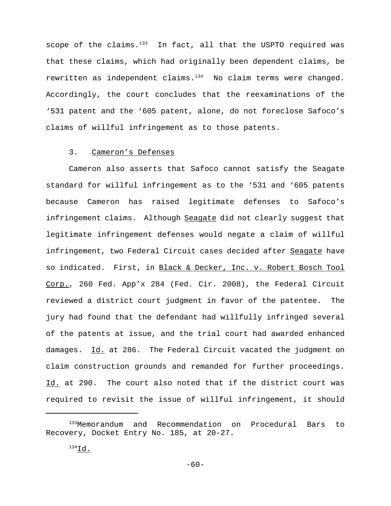scope of the claims.<sup>133</sup> In fact, all that the USPTO required was that these claims, which had originally been dependent claims, be rewritten as independent claims. $134$  No claim terms were changed. Accordingly, the court concludes that the reexaminations of the '531 patent and the '605 patent, alone, do not foreclose Safoco's claims of willful infringement as to those patents.

## 3. Cameron's Defenses

Cameron also asserts that Safoco cannot satisfy the Seagate standard for willful infringement as to the '531 and '605 patents because Cameron has raised legitimate defenses to Safoco's infringement claims. Although Seagate did not clearly suggest that legitimate infringement defenses would negate a claim of willful infringement, two Federal Circuit cases decided after Seagate have so indicated. First, in Black & Decker, Inc. v. Robert Bosch Tool Corp., 260 Fed. App'x 284 (Fed. Cir. 2008), the Federal Circuit reviewed a district court judgment in favor of the patentee. The jury had found that the defendant had willfully infringed several of the patents at issue, and the trial court had awarded enhanced damages. Id. at 286. The Federal Circuit vacated the judgment on claim construction grounds and remanded for further proceedings. Id. at 290. The court also noted that if the district court was required to revisit the issue of willful infringement, it should

<sup>133</sup>Memorandum and Recommendation on Procedural Bars to Recovery, Docket Entry No. 185, at 20-27.

 $^{134}$ Id.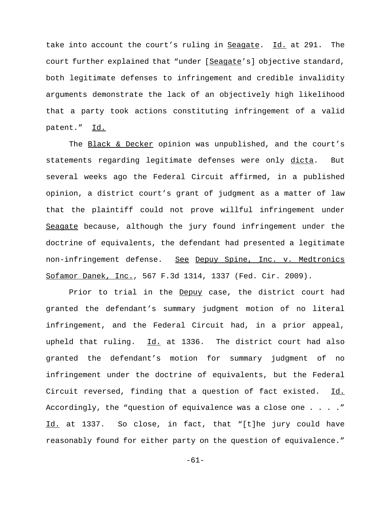take into account the court's ruling in Seagate. Id. at 291. The court further explained that "under [Seagate's] objective standard, both legitimate defenses to infringement and credible invalidity arguments demonstrate the lack of an objectively high likelihood that a party took actions constituting infringement of a valid patent." Id.

The Black & Decker opinion was unpublished, and the court's statements regarding legitimate defenses were only dicta. But several weeks ago the Federal Circuit affirmed, in a published opinion, a district court's grant of judgment as a matter of law that the plaintiff could not prove willful infringement under Seagate because, although the jury found infringement under the doctrine of equivalents, the defendant had presented a legitimate non-infringement defense. See Depuy Spine, Inc. v. Medtronics Sofamor Danek, Inc., 567 F.3d 1314, 1337 (Fed. Cir. 2009).

Prior to trial in the Depuy case, the district court had granted the defendant's summary judgment motion of no literal infringement, and the Federal Circuit had, in a prior appeal, upheld that ruling. Id. at 1336. The district court had also granted the defendant's motion for summary judgment of no infringement under the doctrine of equivalents, but the Federal Circuit reversed, finding that a question of fact existed. Id. Accordingly, the "question of equivalence was a close one . . . ." Id. at 1337. So close, in fact, that "[t]he jury could have reasonably found for either party on the question of equivalence."

-61-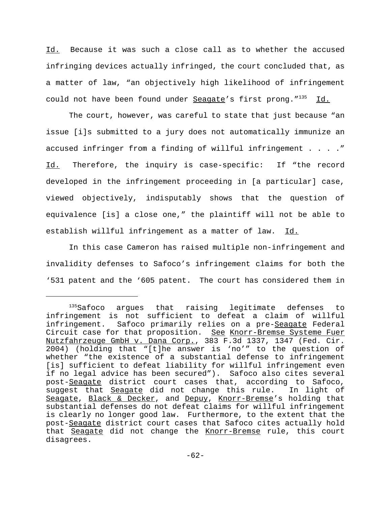Id. Because it was such a close call as to whether the accused infringing devices actually infringed, the court concluded that, as a matter of law, "an objectively high likelihood of infringement could not have been found under Seagate's first prong."<sup>135</sup> Id.

The court, however, was careful to state that just because "an issue [i]s submitted to a jury does not automatically immunize an accused infringer from a finding of willful infringement . . . . " Id. Therefore, the inquiry is case-specific: If "the record developed in the infringement proceeding in [a particular] case, viewed objectively, indisputably shows that the question of equivalence [is] a close one," the plaintiff will not be able to establish willful infringement as a matter of law. Id.

In this case Cameron has raised multiple non-infringement and invalidity defenses to Safoco's infringement claims for both the '531 patent and the '605 patent. The court has considered them in

<sup>135</sup>Safoco argues that raising legitimate defenses to infringement is not sufficient to defeat a claim of willful infringement. Safoco primarily relies on a pre-Seagate Federal Circuit case for that proposition. See Knorr-Bremse Systeme Fuer Nutzfahrzeuge GmbH v. Dana Corp., 383 F.3d 1337, 1347 (Fed. Cir. 2004) (holding that "[t]he answer is 'no'" to the question of whether "the existence of a substantial defense to infringement [is] sufficient to defeat liability for willful infringement even if no legal advice has been secured"). Safoco also cites several post-Seagate district court cases that, according to Safoco, suggest that Seagate did not change this rule. In light of Seagate, Black & Decker, and Depuy, Knorr-Bremse's holding that substantial defenses do not defeat claims for willful infringement is clearly no longer good law. Furthermore, to the extent that the post-Seagate district court cases that Safoco cites actually hold that Seagate did not change the Knorr-Bremse rule, this court disagrees.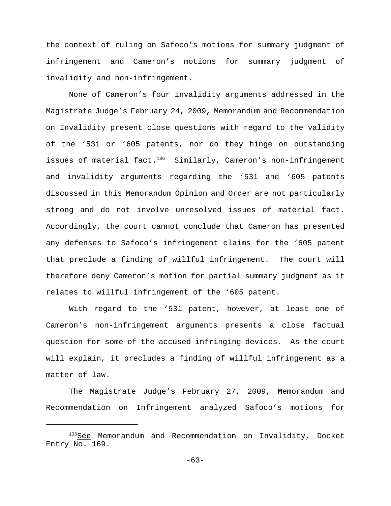the context of ruling on Safoco's motions for summary judgment of infringement and Cameron's motions for summary judgment of invalidity and non-infringement.

None of Cameron's four invalidity arguments addressed in the Magistrate Judge's February 24, 2009, Memorandum and Recommendation on Invalidity present close questions with regard to the validity of the '531 or '605 patents, nor do they hinge on outstanding issues of material fact. $136$  Similarly, Cameron's non-infringement and invalidity arguments regarding the '531 and '605 patents discussed in this Memorandum Opinion and Order are not particularly strong and do not involve unresolved issues of material fact. Accordingly, the court cannot conclude that Cameron has presented any defenses to Safoco's infringement claims for the '605 patent that preclude a finding of willful infringement. The court will therefore deny Cameron's motion for partial summary judgment as it relates to willful infringement of the '605 patent.

With regard to the '531 patent, however, at least one of Cameron's non-infringement arguments presents a close factual question for some of the accused infringing devices. As the court will explain, it precludes a finding of willful infringement as a matter of law.

The Magistrate Judge's February 27, 2009, Memorandum and Recommendation on Infringement analyzed Safoco's motions for

 $136$ See Memorandum and Recommendation on Invalidity, Docket Entry No. 169.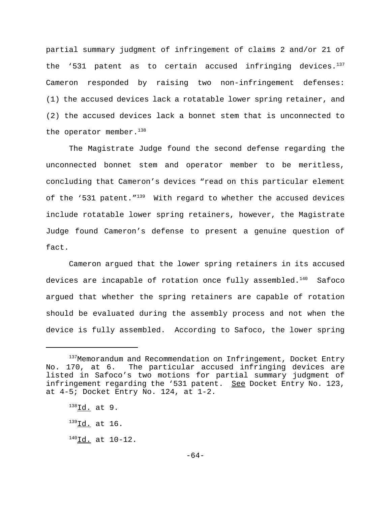partial summary judgment of infringement of claims 2 and/or 21 of the '531 patent as to certain accused infringing devices. $137$ Cameron responded by raising two non-infringement defenses: (1) the accused devices lack a rotatable lower spring retainer, and (2) the accused devices lack a bonnet stem that is unconnected to the operator member. $138$ 

The Magistrate Judge found the second defense regarding the unconnected bonnet stem and operator member to be meritless, concluding that Cameron's devices "read on this particular element of the '531 patent."<sup>139</sup> With regard to whether the accused devices include rotatable lower spring retainers, however, the Magistrate Judge found Cameron's defense to present a genuine question of fact.

Cameron argued that the lower spring retainers in its accused devices are incapable of rotation once fully assembled. $140$  Safoco argued that whether the spring retainers are capable of rotation should be evaluated during the assembly process and not when the device is fully assembled. According to Safoco, the lower spring

<sup>&</sup>lt;sup>137</sup>Memorandum and Recommendation on Infringement, Docket Entry No. 170, at 6. The particular accused infringing devices are listed in Safoco's two motions for partial summary judgment of infringement regarding the '531 patent. See Docket Entry No. 123, at 4-5; Docket Entry No. 124, at 1-2.

 $^{138}$ Id. at 9.

 $^{139}$ Id. at 16.

 $140$ Id. at  $10-12$ .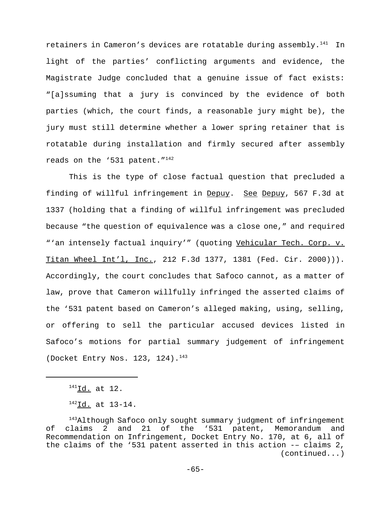retainers in Cameron's devices are rotatable during assembly.<sup>141</sup> In light of the parties' conflicting arguments and evidence, the Magistrate Judge concluded that a genuine issue of fact exists: "[a]ssuming that a jury is convinced by the evidence of both parties (which, the court finds, a reasonable jury might be), the jury must still determine whether a lower spring retainer that is rotatable during installation and firmly secured after assembly reads on the '531 patent."<sup>142</sup>

This is the type of close factual question that precluded a finding of willful infringement in Depuy. See Depuy, 567 F.3d at 1337 (holding that a finding of willful infringement was precluded because "the question of equivalence was a close one," and required "'an intensely factual inquiry'" (quoting Vehicular Tech. Corp. v. Titan Wheel Int'l, Inc., 212 F.3d 1377, 1381 (Fed. Cir. 2000))). Accordingly, the court concludes that Safoco cannot, as a matter of law, prove that Cameron willfully infringed the asserted claims of the '531 patent based on Cameron's alleged making, using, selling, or offering to sell the particular accused devices listed in Safoco's motions for partial summary judgement of infringement (Docket Entry Nos. 123, 124).<sup>143</sup>

 $^{141}$ Id. at 12.

<sup>142</sup>Id. at 13-14.

<sup>&</sup>lt;sup>143</sup>Although Safoco only sought summary judgment of infringement of claims 2 and 21 of the '531 patent, Memorandum and Recommendation on Infringement, Docket Entry No. 170, at 6, all of the claims of the '531 patent asserted in this action -– claims 2, (continued...)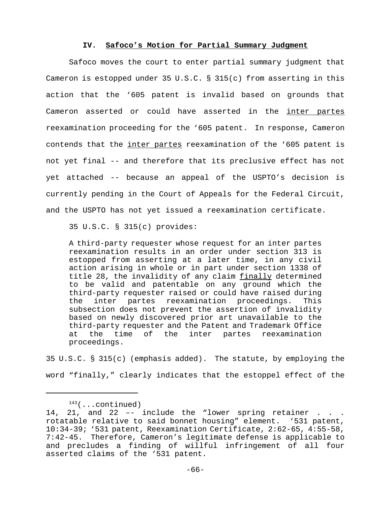#### **IV. Safoco's Motion for Partial Summary Judgment**

Safoco moves the court to enter partial summary judgment that Cameron is estopped under 35 U.S.C. § 315(c) from asserting in this action that the '605 patent is invalid based on grounds that Cameron asserted or could have asserted in the inter partes reexamination proceeding for the '605 patent. In response, Cameron contends that the inter partes reexamination of the '605 patent is not yet final -- and therefore that its preclusive effect has not yet attached -- because an appeal of the USPTO's decision is currently pending in the Court of Appeals for the Federal Circuit, and the USPTO has not yet issued a reexamination certificate.

35 U.S.C. § 315(c) provides:

A third-party requester whose request for an inter partes reexamination results in an order under section 313 is estopped from asserting at a later time, in any civil action arising in whole or in part under section 1338 of title 28, the invalidity of any claim finally determined to be valid and patentable on any ground which the third-party requester raised or could have raised during the inter partes reexamination proceedings. This subsection does not prevent the assertion of invalidity based on newly discovered prior art unavailable to the third-party requester and the Patent and Trademark Office at the time of the inter partes reexamination proceedings.

35 U.S.C. § 315(c) (emphasis added). The statute, by employing the word "finally," clearly indicates that the estoppel effect of the

 $143$ (...continued)

<sup>14, 21,</sup> and 22 -- include the "lower spring retainer . . . rotatable relative to said bonnet housing" element. '531 patent, 10:34-39; '531 patent, Reexamination Certificate, 2:62-65, 4:55-58, 7:42-45. Therefore, Cameron's legitimate defense is applicable to and precludes a finding of willful infringement of all four asserted claims of the '531 patent.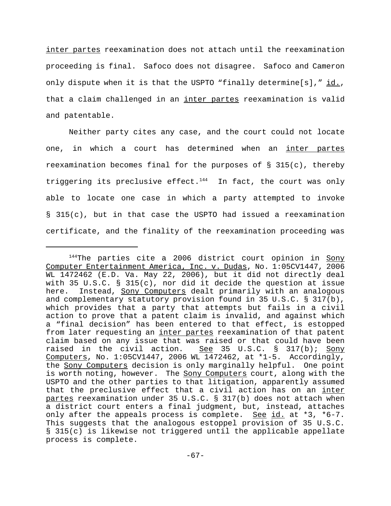inter partes reexamination does not attach until the reexamination proceeding is final. Safoco does not disagree. Safoco and Cameron only dispute when it is that the USPTO "finally determine[s],"  $\underline{id.}$ , that a claim challenged in an inter partes reexamination is valid and patentable.

Neither party cites any case, and the court could not locate one, in which a court has determined when an inter partes reexamination becomes final for the purposes of  $\S$  315(c), thereby triggering its preclusive effect. $144$  In fact, the court was only able to locate one case in which a party attempted to invoke § 315(c), but in that case the USPTO had issued a reexamination certificate, and the finality of the reexamination proceeding was

 $144$ The parties cite a 2006 district court opinion in Sony Computer Entertainment America, Inc. v. Dudas, No. 1:05CV1447, 2006 WL 1472462 (E.D. Va. May 22, 2006), but it did not directly deal with 35 U.S.C. § 315(c), nor did it decide the question at issue here. Instead, Sony Computers dealt primarily with an analogous and complementary statutory provision found in 35 U.S.C. § 317(b), which provides that a party that attempts but fails in a civil action to prove that a patent claim is invalid, and against which a "final decision" has been entered to that effect, is estopped from later requesting an inter partes reexamination of that patent claim based on any issue that was raised or that could have been raised in the civil action. See 35 U.S.C. § 317(b); Sony Computers, No. 1:05CV1447, 2006 WL 1472462, at \*1-5. Accordingly, the Sony Computers decision is only marginally helpful. One point is worth noting, however. The Sony Computers court, along with the USPTO and the other parties to that litigation, apparently assumed that the preclusive effect that a civil action has on an inter partes reexamination under 35 U.S.C. § 317(b) does not attach when a district court enters a final judgment, but, instead, attaches only after the appeals process is complete. See id. at  $*3$ ,  $*6-7$ . This suggests that the analogous estoppel provision of 35 U.S.C. § 315(c) is likewise not triggered until the applicable appellate process is complete.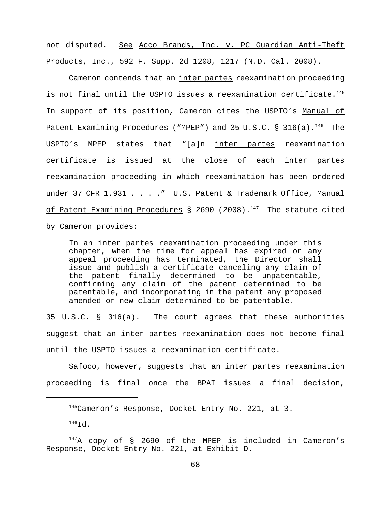not disputed. See Acco Brands, Inc. v. PC Guardian Anti-Theft Products, Inc., 592 F. Supp. 2d 1208, 1217 (N.D. Cal. 2008).

Cameron contends that an inter partes reexamination proceeding is not final until the USPTO issues a reexamination certificate.<sup>145</sup> In support of its position, Cameron cites the USPTO's Manual of Patent Examining Procedures ("MPEP") and 35 U.S.C. § 316(a).<sup>146</sup> The USPTO's MPEP states that "[a]n inter partes reexamination certificate is issued at the close of each inter partes reexamination proceeding in which reexamination has been ordered under 37 CFR 1.931 . . . . " U.S. Patent & Trademark Office, Manual of Patent Examining Procedures § 2690 (2008).<sup>147</sup> The statute cited by Cameron provides:

In an inter partes reexamination proceeding under this chapter, when the time for appeal has expired or any appeal proceeding has terminated, the Director shall issue and publish a certificate canceling any claim of the patent finally determined to be unpatentable, confirming any claim of the patent determined to be patentable, and incorporating in the patent any proposed amended or new claim determined to be patentable.

35 U.S.C. § 316(a). The court agrees that these authorities suggest that an inter partes reexamination does not become final until the USPTO issues a reexamination certificate.

Safoco, however, suggests that an inter partes reexamination proceeding is final once the BPAI issues a final decision,

 $145$ Cameron's Response, Docket Entry No. 221, at 3.

 $^{146}$ Id.

 $147A$  copy of § 2690 of the MPEP is included in Cameron's Response, Docket Entry No. 221, at Exhibit D.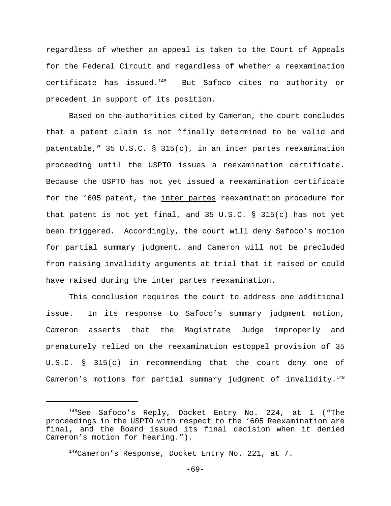regardless of whether an appeal is taken to the Court of Appeals for the Federal Circuit and regardless of whether a reexamination certificate has issued.148 But Safoco cites no authority or precedent in support of its position.

Based on the authorities cited by Cameron, the court concludes that a patent claim is not "finally determined to be valid and patentable," 35 U.S.C. § 315(c), in an inter partes reexamination proceeding until the USPTO issues a reexamination certificate. Because the USPTO has not yet issued a reexamination certificate for the '605 patent, the inter partes reexamination procedure for that patent is not yet final, and 35 U.S.C. § 315(c) has not yet been triggered. Accordingly, the court will deny Safoco's motion for partial summary judgment, and Cameron will not be precluded from raising invalidity arguments at trial that it raised or could have raised during the inter partes reexamination.

This conclusion requires the court to address one additional issue. In its response to Safoco's summary judgment motion, Cameron asserts that the Magistrate Judge improperly and prematurely relied on the reexamination estoppel provision of 35 U.S.C. § 315(c) in recommending that the court deny one of Cameron's motions for partial summary judgment of invalidity. $149$ 

-69-

 $148$ See Safoco's Reply, Docket Entry No. 224, at 1 ("The proceedings in the USPTO with respect to the '605 Reexamination are final, and the Board issued its final decision when it denied Cameron's motion for hearing.").

<sup>149</sup> Cameron's Response, Docket Entry No. 221, at 7.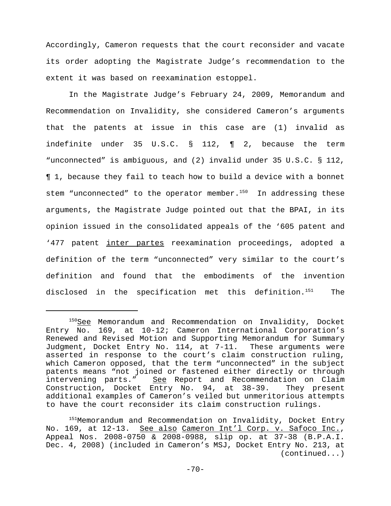Accordingly, Cameron requests that the court reconsider and vacate its order adopting the Magistrate Judge's recommendation to the extent it was based on reexamination estoppel.

In the Magistrate Judge's February 24, 2009, Memorandum and Recommendation on Invalidity, she considered Cameron's arguments that the patents at issue in this case are (1) invalid as indefinite under 35 U.S.C. § 112, ¶ 2, because the term "unconnected" is ambiguous, and (2) invalid under 35 U.S.C. § 112, ¶ 1, because they fail to teach how to build a device with a bonnet stem "unconnected" to the operator member. $150$  In addressing these arguments, the Magistrate Judge pointed out that the BPAI, in its opinion issued in the consolidated appeals of the '605 patent and '477 patent inter partes reexamination proceedings, adopted a definition of the term "unconnected" very similar to the court's definition and found that the embodiments of the invention disclosed in the specification met this definition.151 The

 $150$ See Memorandum and Recommendation on Invalidity, Docket Entry No. 169, at 10-12; Cameron International Corporation's Renewed and Revised Motion and Supporting Memorandum for Summary Judgment, Docket Entry No. 114, at 7-11. These arguments were asserted in response to the court's claim construction ruling, which Cameron opposed, that the term "unconnected" in the subject patents means "not joined or fastened either directly or through intervening parts." See Report and Recommendation on Claim Construction, Docket Entry No. 94, at 38-39. They present additional examples of Cameron's veiled but unmeritorious attempts to have the court reconsider its claim construction rulings.

<sup>&</sup>lt;sup>151</sup>Memorandum and Recommendation on Invalidity, Docket Entry No. 169, at 12-13. See also Cameron Int'l Corp. v. Safoco Inc., Appeal Nos. 2008-0750 & 2008-0988, slip op. at 37-38 (B.P.A.I. Dec. 4, 2008) (included in Cameron's MSJ, Docket Entry No. 213, at (continued...)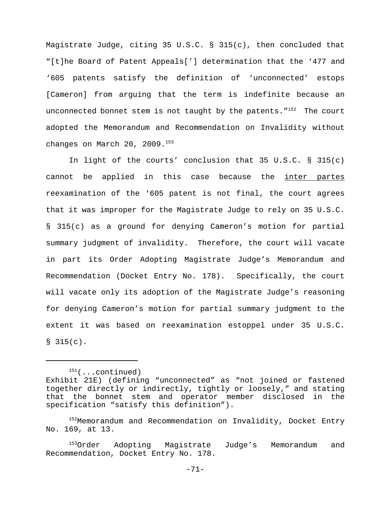Magistrate Judge, citing 35 U.S.C. § 315(c), then concluded that "[t]he Board of Patent Appeals['] determination that the '477 and '605 patents satisfy the definition of 'unconnected' estops [Cameron] from arguing that the term is indefinite because an unconnected bonnet stem is not taught by the patents.  $152$  The court adopted the Memorandum and Recommendation on Invalidity without changes on March 20, 2009.<sup>153</sup>

In light of the courts' conclusion that 35 U.S.C. § 315(c) cannot be applied in this case because the inter partes reexamination of the '605 patent is not final, the court agrees that it was improper for the Magistrate Judge to rely on 35 U.S.C. § 315(c) as a ground for denying Cameron's motion for partial summary judgment of invalidity. Therefore, the court will vacate in part its Order Adopting Magistrate Judge's Memorandum and Recommendation (Docket Entry No. 178). Specifically, the court will vacate only its adoption of the Magistrate Judge's reasoning for denying Cameron's motion for partial summary judgment to the extent it was based on reexamination estoppel under 35 U.S.C.  $$315(c).$ 

 $151$ (...continued) Exhibit 21E) (defining "unconnected" as "not joined or fastened together directly or indirectly, tightly or loosely," and stating that the bonnet stem and operator member disclosed in the specification "satisfy this definition").

<sup>152</sup>Memorandum and Recommendation on Invalidity, Docket Entry No. 169, at 13.

<sup>&</sup>lt;sup>153</sup>Order Adopting Magistrate Judge's Memorandum and Recommendation, Docket Entry No. 178.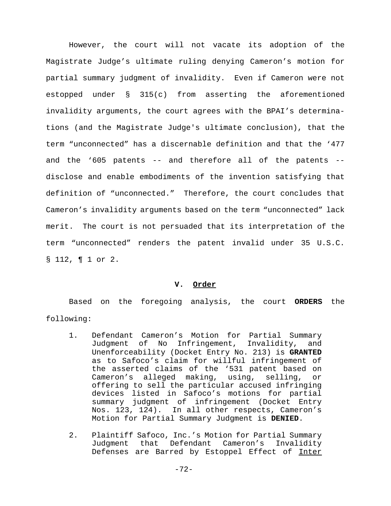However, the court will not vacate its adoption of the Magistrate Judge's ultimate ruling denying Cameron's motion for partial summary judgment of invalidity. Even if Cameron were not estopped under § 315(c) from asserting the aforementioned invalidity arguments, the court agrees with the BPAI's determinations (and the Magistrate Judge's ultimate conclusion), that the term "unconnected" has a discernable definition and that the '477 and the '605 patents -- and therefore all of the patents - disclose and enable embodiments of the invention satisfying that definition of "unconnected." Therefore, the court concludes that Cameron's invalidity arguments based on the term "unconnected" lack merit. The court is not persuaded that its interpretation of the term "unconnected" renders the patent invalid under 35 U.S.C. § 112, ¶ 1 or 2.

### **V. Order**

Based on the foregoing analysis, the court **ORDERS** the following:

- 1. Defendant Cameron's Motion for Partial Summary Judgment of No Infringement, Invalidity, and Unenforceability (Docket Entry No. 213) is **GRANTED** as to Safoco's claim for willful infringement of the asserted claims of the '531 patent based on Cameron's alleged making, using, selling, or offering to sell the particular accused infringing devices listed in Safoco's motions for partial summary judgment of infringement (Docket Entry Nos. 123, 124). In all other respects, Cameron's Motion for Partial Summary Judgment is **DENIED**.
- 2. Plaintiff Safoco, Inc.'s Motion for Partial Summary Judgment that Defendant Cameron's Invalidity Defenses are Barred by Estoppel Effect of Inter